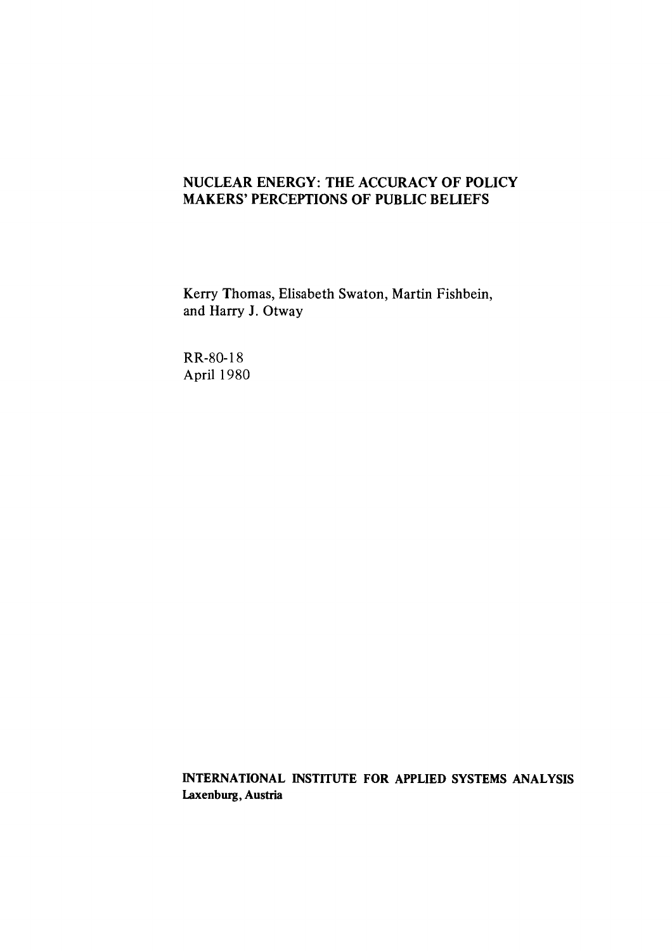## **NUCLEAR ENERGY: THE ACCURACY OF POLICY MAKERS' PERCEPTIONS OF PUBLIC BELIEFS**

Kerry Thomas, Elisabeth Swaton, Martin Fishbein, and Harry J. Otway

RR-80- 1 8 April 1980

**INTERNATIONAL INSTITUTE FOR APPLIED SYSTEMS ANALYSIS Laxenburg, Austria**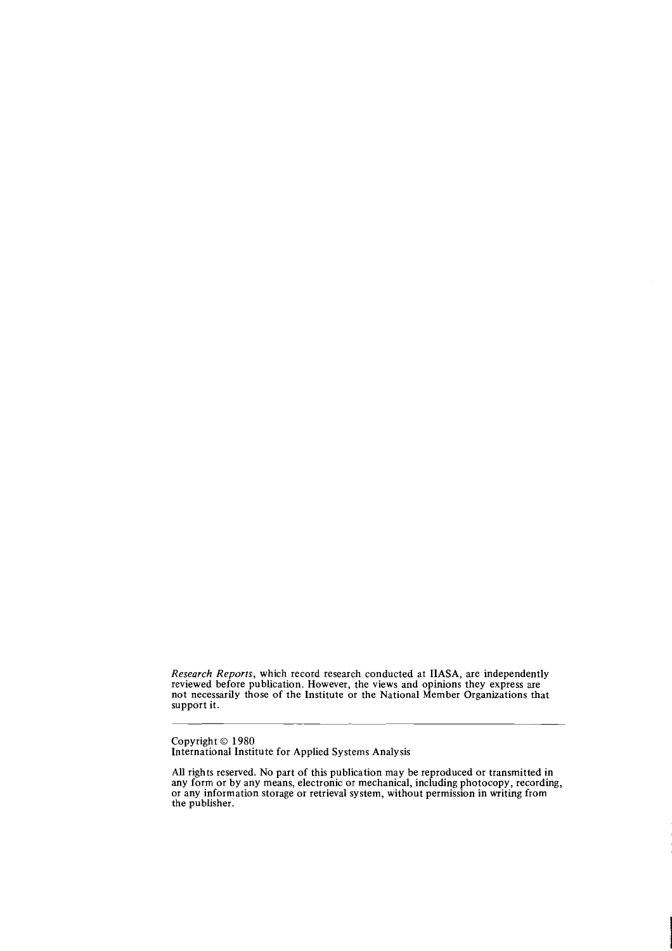*Research Reports,* which record research conducted at IIASA, are independently reviewed before publication. However, the views and opinions they express are not necessarily those of the Institute or the National Member Organizations that support it.

Copyright O 1980 International Institute for Applied Systems Analysis

All rights reserved. No part of this publication may be reproduced or transmitted in<br>any form or by any means, electronic or mechanical, including photocopy, recording,<br>or any information storage or retrieval system, witho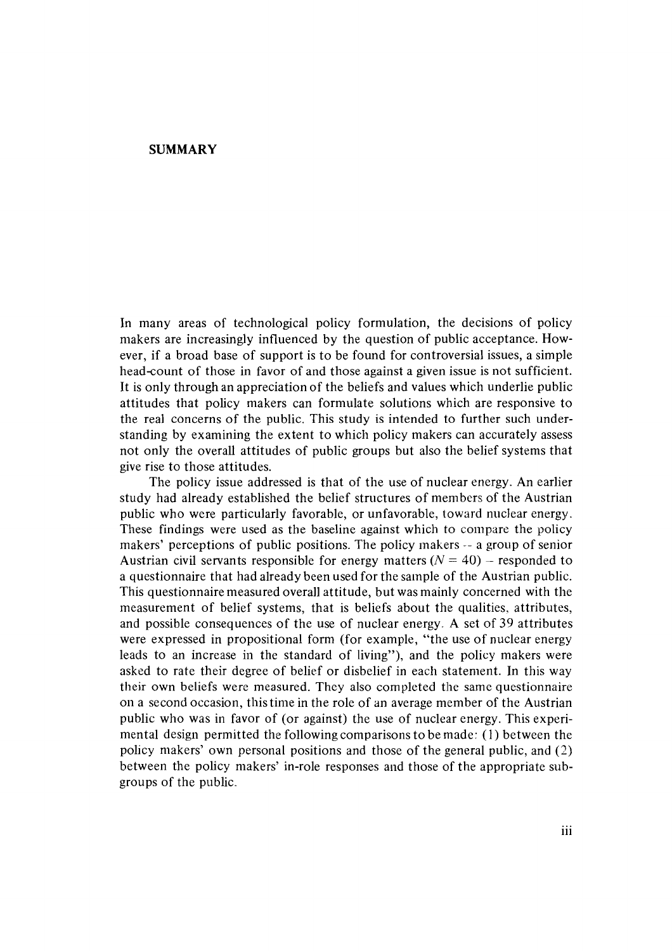#### **SUMMARY**

In many areas of technological policy formulation, the decisions of policy makers are increasingly influenced by the question of public acceptance. However, if a broad base of support is to be found for controversial issues, a simple head-count of those in favor of and those against a given issue is not sufficient. It is only through an appreciation of the beliefs and values which underlie public attitudes that policy makers can formulate solutions which are responsive to the real concerns of the public. This study is intended to further such understanding by examining the extent to which policy makers can accurately assess not only the overall attitudes of public groups but also the belief systems that give rise to those attitudes.

The policy issue addressed is that of the use of nuclear energy. An earlier study had already established the belief structures of members of the Austrian public who were particularly favorable, or unfavorable, toward nuclear energy. These findings were used as the baseline against which to compare the policy makers' perceptions of public positions. The policy makers -- a group of senior Austrian civil servants responsible for energy matters  $(N = 40)$  – responded to a questionnaire that had already been used for the sample of the Austrian public. This questionnaire measured overall attitude, but was mainly concerned with the measurement of belief systems, that is beliefs about the qualities, attributes, and possible consequences of the use of nuclear energy. A set of 39 attributes were expressed in propositional form (for example, "the use of nuclear energy leads to an increase in the standard of living"), and the policy makers were asked to rate their degree of belief or disbelief in each statement. In this way their own beliefs were measured. They also completed the same questionnaire on a second occasion, this time in the role of an average member of the Austrian public who was in favor of (or against) the use of nuclear energy. This experimental design permitted the following comparisons to be made: (1) between the policy makers' own personal positions and those of the general public, and (2) between the policy makers' in-role responses and those of the appropriate subgroups of the public.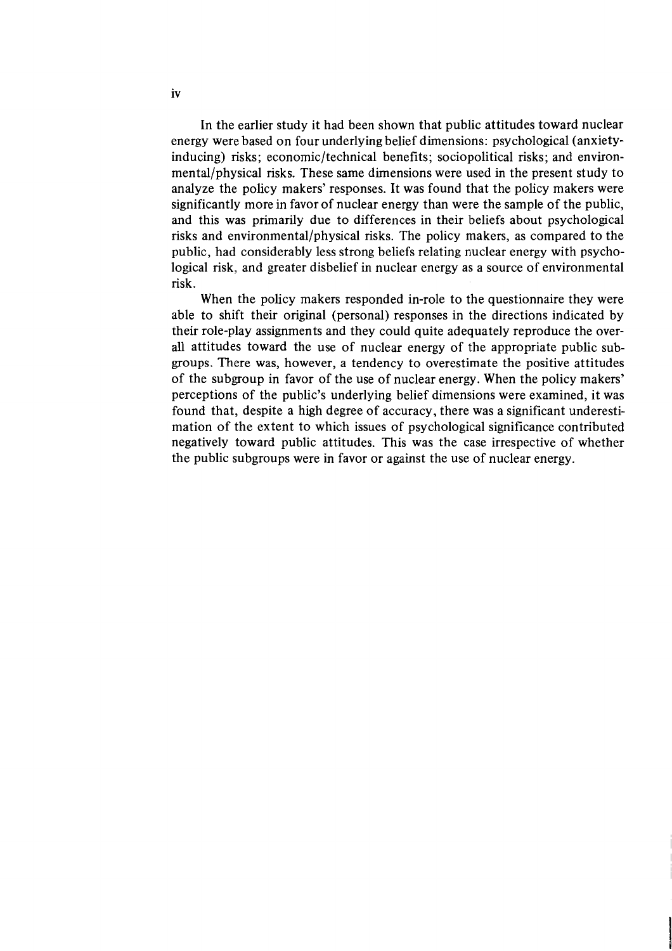In the earlier study it had been shown that public attitudes toward nuclear energy were based on four underlying belief dimensions: psychological (anxietyinducing) risks; economic/technical benefits; sociopolitical risks; and environmental/physical risks. These same dimensions were used in the present study to analyze the policy makers' responses. It was found that the policy makers were significantly more in favor of nuclear energy than were the sample of the public, and this was primarily due to differences in their beliefs about psychological risks and environmental/physical risks. The policy makers, as compared to the public, had considerably less strong beliefs relating nuclear energy with psychological risk, and greater disbelief in nuclear energy as a source of environmental risk.

When the policy makers responded in-role to the questionnaire they were able to shift their original (personal) responses in the directions indicated by their role-play assignments and they could quite adequately reproduce the over**all** attitudes toward the use of nuclear energy of the appropriate public subgroups. There was, however, a tendency to overestimate the positive attitudes of the subgroup in favor of the use of nuclear energy. When the policy makers' perceptions of the public's underlying belief dimensions were examined, it was found that, despite a high degree of accuracy, there was a significant underestimation of the extent to which issues of psychological significance contributed negatively toward public attitudes. This was the case irrespective of whether the public subgroups were in favor or against the use of nuclear energy.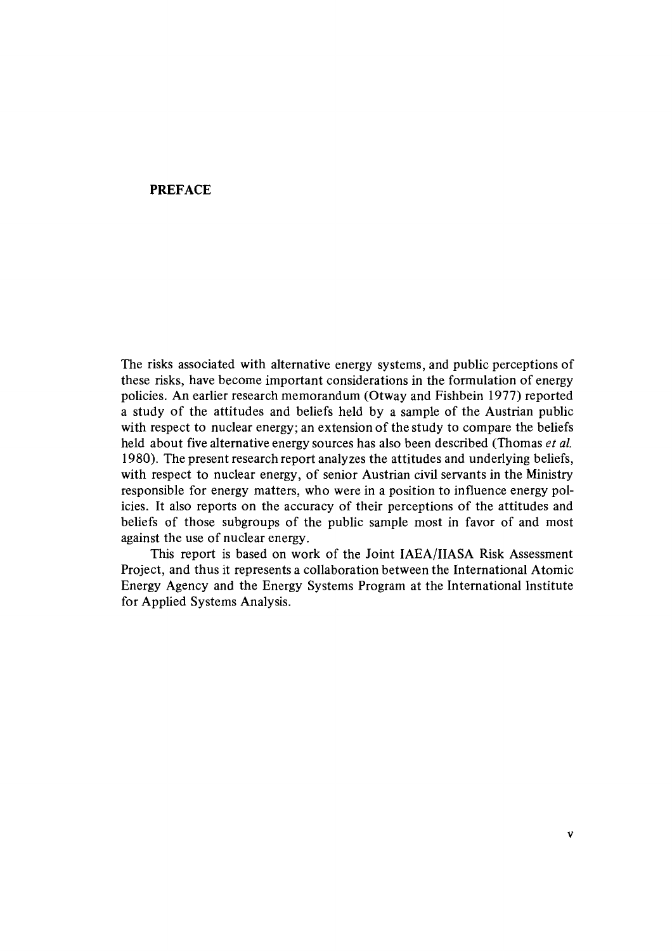### **PREFACE**

The risks associated with alternative energy systems, and public perceptions of these risks, have become important considerations in the formulation of energy policies. An earlier research memorandum (Otway and Fishbein 1977) reported a study of the attitudes and beliefs held by a sample of the Austrian public with respect to nuclear energy; an extension of the study to compare the beliefs held about five alternative energy sources has also been described (Thomas *et* al. 1980). The present research report analyzes the attitudes and underlying beliefs, with respect to nuclear energy, of senior Austrian civil servants in the Ministry responsible for energy matters, who were in a position to influence energy policies. It also reports on the accuracy of their perceptions of the attitudes and beliefs of those subgroups of the public sample most in favor of and most against the use of nuclear energy.

This report is based on work of the Joint IAEA/IIASA Risk Assessment Project, and thus it represents a collaboration between the International Atomic Energy Agency and the Energy Systems Program at the International Institute for Applied Systems Analysis.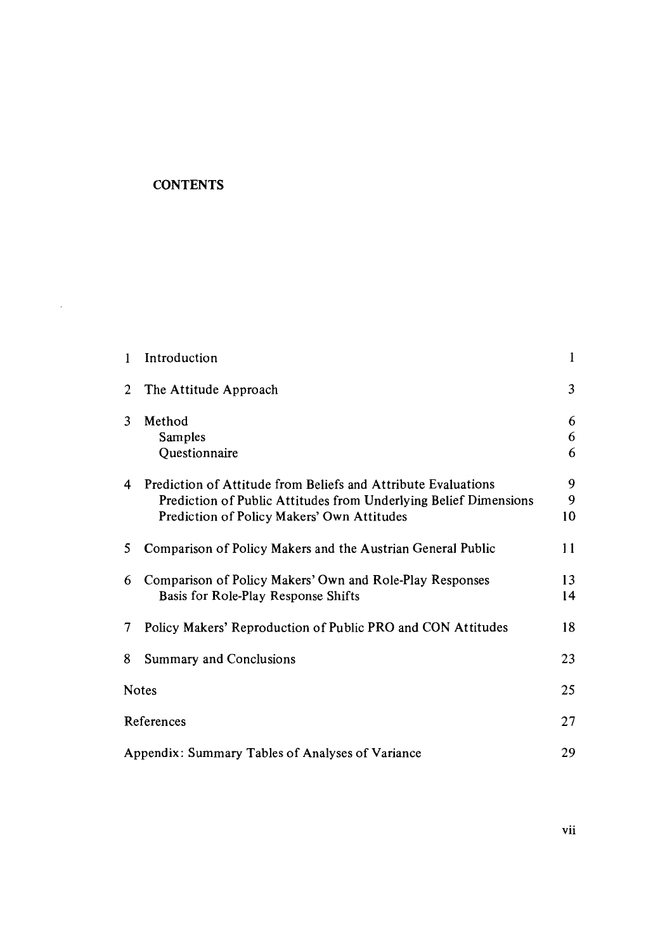## **CONTENTS**

 $\sim 10^{-10}$ 

| 1 | Introduction                                                                                                                                                                    | 1            |
|---|---------------------------------------------------------------------------------------------------------------------------------------------------------------------------------|--------------|
| 2 | The Attitude Approach                                                                                                                                                           | 3            |
| 3 | Method<br>Samples<br>Questionnaire                                                                                                                                              | 6<br>6<br>6  |
| 4 | Prediction of Attitude from Beliefs and Attribute Evaluations<br>Prediction of Public Attitudes from Underlying Belief Dimensions<br>Prediction of Policy Makers' Own Attitudes | 9<br>9<br>10 |
| 5 | Comparison of Policy Makers and the Austrian General Public                                                                                                                     | 11           |
| 6 | Comparison of Policy Makers' Own and Role-Play Responses<br>Basis for Role-Play Response Shifts                                                                                 | 13<br>14     |
| 7 | Policy Makers' Reproduction of Public PRO and CON Attitudes                                                                                                                     | 18           |
| 8 | Summary and Conclusions                                                                                                                                                         | 23           |
|   | <b>Notes</b>                                                                                                                                                                    | 25           |
|   | References                                                                                                                                                                      | 27           |
|   | Appendix: Summary Tables of Analyses of Variance                                                                                                                                | 29           |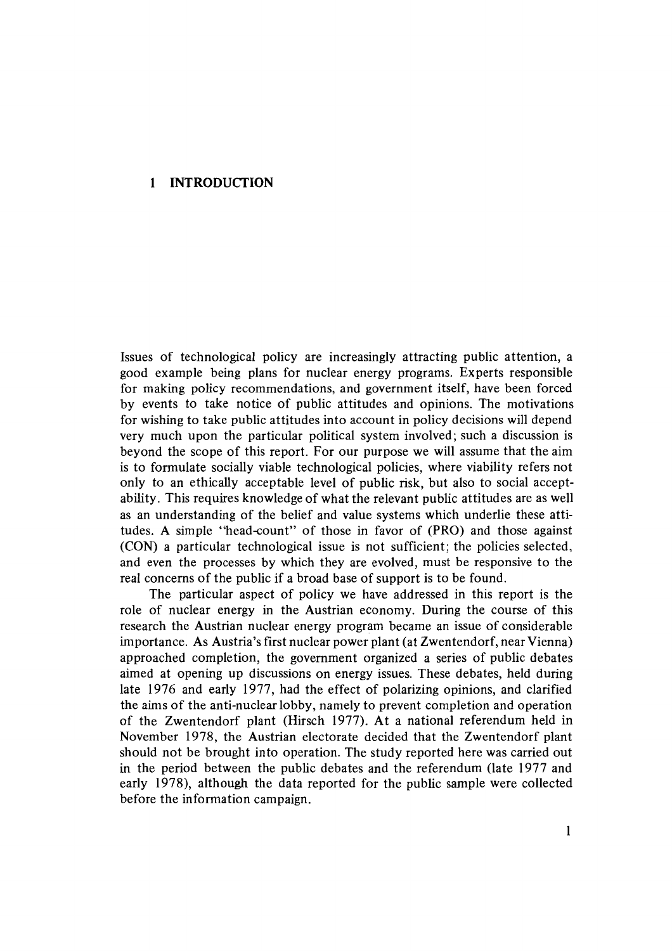## **1 INTRODUCTION**

Issues of technological policy are increasingly attracting public attention, a good example being plans for nuclear energy programs. Experts responsible for making policy recommendations, and government itself, have been forced by events to take notice of public attitudes and opinions. The motivations for wishing to take public attitudes into account in policy decisions will depend very much upon the particular political system involved; such a discussion is beyond the scope of this report. For our purpose we will assume that the aim is to formulate socially viable technological policies, where viability refers not only to an ethically acceptable level of public risk, but also to social acceptability. This requires knowledge of what the relevant public attitudes are as well as an understanding of the belief and value systems which underlie these attitudes. A simple "head-count" of those in favor of (PRO) and those against (CON) a particular technological issue is not sufficient; the policies selected, and even the processes by which they are evolved, must be responsive to the real concerns of the public if a broad base of support is to be found.

The particular aspect of policy we have addressed in this report is the role of nuclear energy in the Austrian economy. During the course of this research the Austrian nuclear energy program became an issue of considerable importance. As Austria's first nuclear power plant (at Zwentendorf, near Vienna) approached completion, the government organized a series of public debates aimed at opening up discussions on energy issues. These debates, held during late 1976 and early 1977, had the effect of polarizing opinions, and clarified the aims of the anti-nuclear lobby, namely to prevent completion and operation of the Zwentendorf plant (Hirsch 1977). At a national referendum held in November 1978, the Austrian electorate decided that the Zwentendorf plant should not be brought into operation. The study reported here was carried out in the period between the public debates and the referendum (late 1977 and early 1978), although the data reported for the public sample were collected before the information campaign.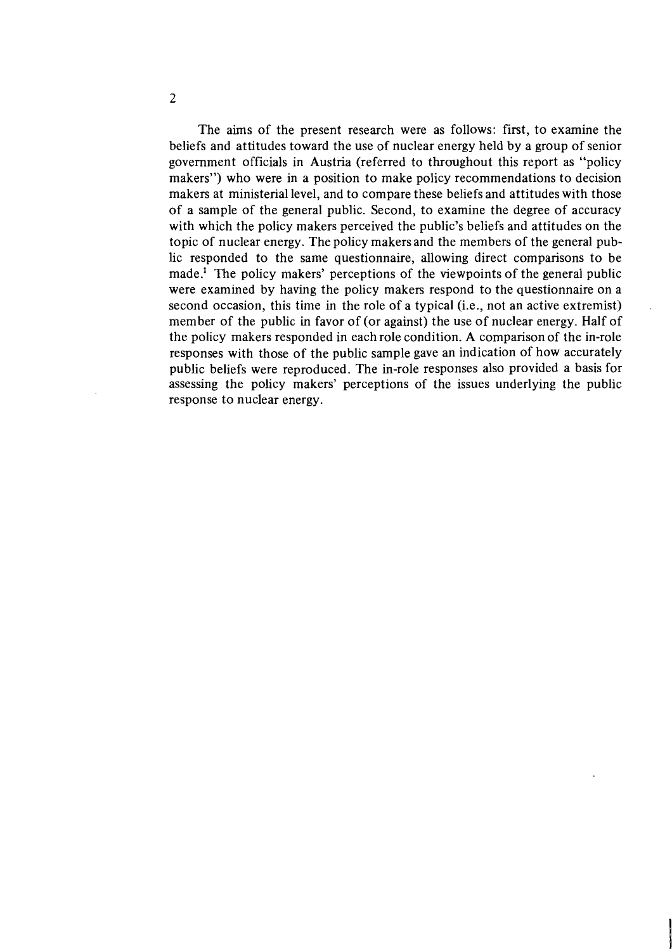The aims of the present research were as follows: first, to examine the beliefs and attitudes toward the use of nuclear energy held by a group of senior government officials in Austria (referred to throughout this report as "policy makers") who were in a position to make policy recommendations to decision makers at ministerial level, and to compare these beliefs and attitudes with those of a sample of the general public. Second, to examine the degree of accuracy with which the policy makers perceived the public's beliefs and attitudes on the topic of nuclear energy. The policy makers and the members of the general public responded to the same questionnaire, allowing direct comparisons to be made.<sup>1</sup> The policy makers' perceptions of the viewpoints of the general public were examined by having the policy makers respond to the questionnaire on a second occasion, this time in the role of a typical (i.e., not an active extremist) member of the public in favor of (or against) the use of nuclear energy. Half of the policy makers responded in each role condition. **A** comparison of the in-role responses with those of the public sample gave an indication of how accurately public beliefs were reproduced. The in-role responses also provided a basis for assessing the policy makers' perceptions of the issues underlying the public response to nuclear energy.

 $\overline{2}$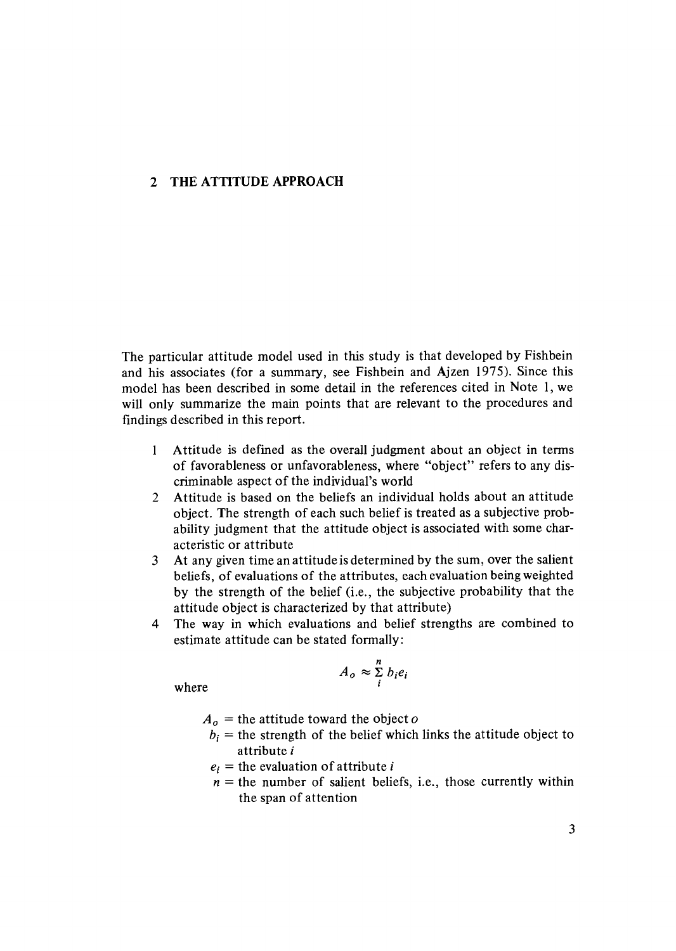## 2 THE ATTITUDE APPROACH

The particular attitude model used in this study is that developed by Fishbein and his associates (for a summary, see Fishbein and Ajzen 1975). Since this model has been described in some detail in the references cited in Note 1, we will only summarize the main points that are relevant to the procedures and findings described in this report.

- 1 Attitude is defined as the overall judgment about an object in terms of favorableness or unfavorableness, where "object" refers to any discriminable aspect of the individual's world
- *2* Attitude is based on the beliefs an individual holds about an attitude object. The strength of each such belief is treated as a subjective probability judgment that the attitude object is associated with some characteristic or attribute
- **3** At any given time an attitude is determined by the sum, over the salient beliefs, of evaluations of the attributes, each evaluation being weighted by the strength of the belief (i.e., the subjective probability that the attitude object is characterized by that attribute)
- **4** The way in which evaluations and belief strengths are combined to estimate attitude can be stated formally:

$$
A_o \approx \sum_{i}^{n} b_i e_i
$$

where

 $A_{\alpha}$  = the attitude toward the object o

- $b_i$  = the strength of the belief which links the attitude object to attribute i
- $e_i$  = the evaluation of attribute *i*
- $n =$  the number of salient beliefs, i.e., those currently within the span of attention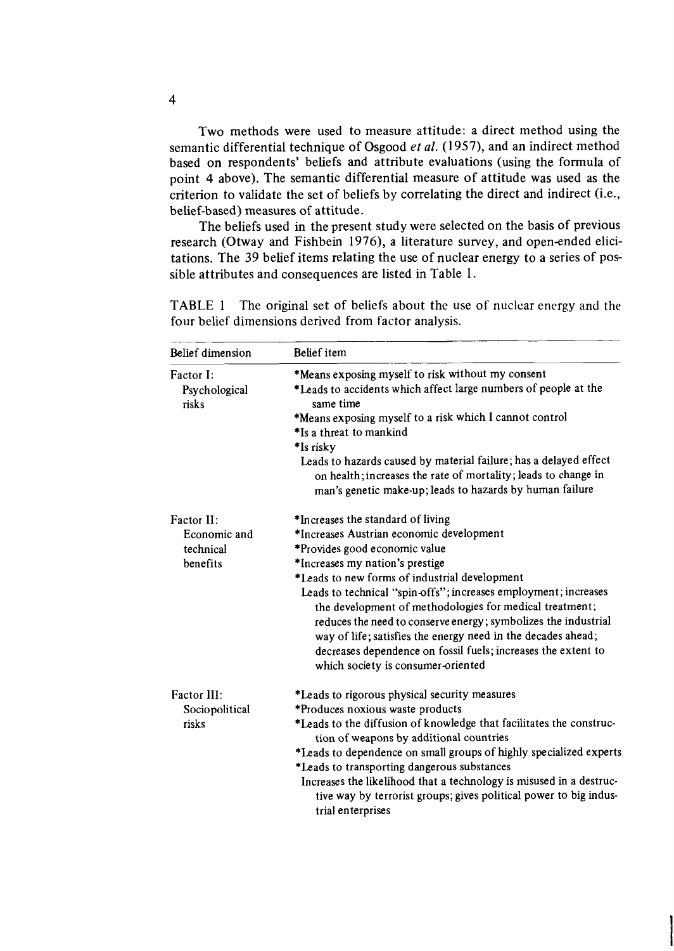Two methods were used to measure attitude: a direct method using the semantic differential technique of Osgood *et* al. (1957), and an indirect method based on respondents' beliefs and attribute evaluations (using the formula of point 4 above). The semantic differential measure of attitude was used as the criterion to validate the set of beliefs by correlating the direct and indirect (i.e., belief-based) measures of attitude.

The beliefs used in the present study were selected on the basis of previous research (Otway and Fishbein 1976), a literature survey, and open-ended elicitations. The 39 belief items relating the use of nuclear energy to a series of possible attributes and consequences are listed in Table 1.

| Belief dimension                                    | Belief item                                                                                                                                                                                                                                                                                                                                                                                                                                                                                                                                                               |
|-----------------------------------------------------|---------------------------------------------------------------------------------------------------------------------------------------------------------------------------------------------------------------------------------------------------------------------------------------------------------------------------------------------------------------------------------------------------------------------------------------------------------------------------------------------------------------------------------------------------------------------------|
| Factor I:<br>Psychological<br>risks                 | *Means exposing myself to risk without my consent<br>*Leads to accidents which affect large numbers of people at the<br>same time<br>*Means exposing myself to a risk which I cannot control<br>*Is a threat to mankind<br>*Is risky<br>Leads to hazards caused by material failure; has a delayed effect<br>on health; increases the rate of mortality; leads to change in<br>man's genetic make-up; leads to hazards by human failure                                                                                                                                   |
| Factor II:<br>Economic and<br>technical<br>benefits | *Increases the standard of living<br>*Increases Austrian economic development<br>*Provides good economic value<br>*Increases my nation's prestige<br>*Leads to new forms of industrial development<br>Leads to technical "spin-offs"; increases employment; increases<br>the development of methodologies for medical treatment;<br>reduces the need to conserve energy; symbolizes the industrial<br>way of life; satisfies the energy need in the decades ahead;<br>decreases dependence on fossil fuels; increases the extent to<br>which society is consumer-oriented |
| Factor III:<br>Sociopolitical<br>risks              | *Leads to rigorous physical security measures<br>*Produces noxious waste products<br>*Leads to the diffusion of knowledge that facilitates the construc-<br>tion of weapons by additional countries<br>*Leads to dependence on small groups of highly specialized experts<br>*Leads to transporting dangerous substances<br>Increases the likelihood that a technology is misused in a destruc-<br>tive way by terrorist groups; gives political power to big indus-<br>trial enterprises                                                                                 |

TABLE 1 The original set of beliefs about the use of nuclear energy and the four belief dimensions derived from factor analysis.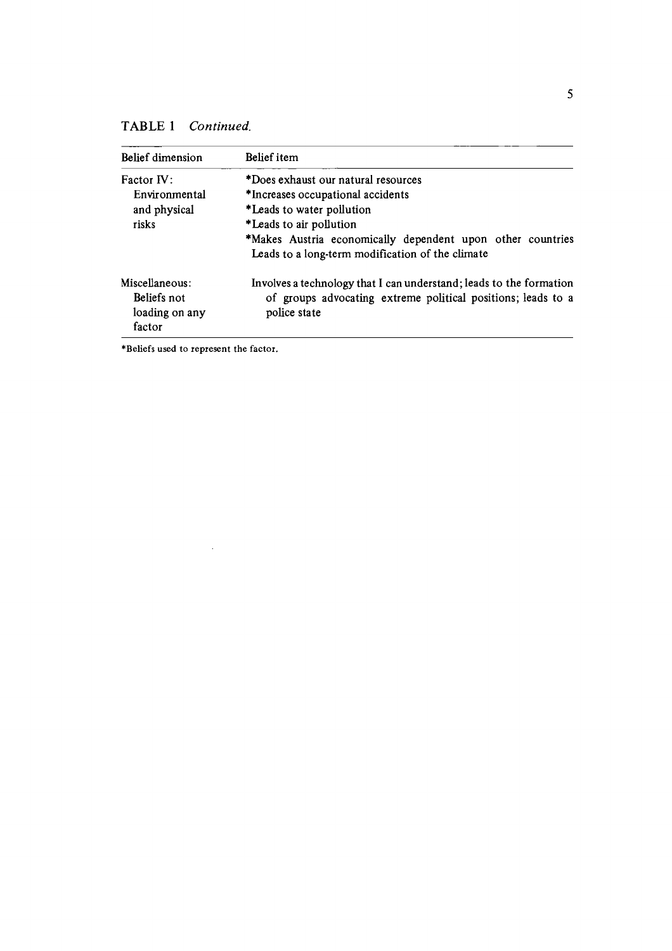**TABLE 1** *Continued.* 

| Belief dimension                                          | Belief item<br>*Does exhaust our natural resources<br>*Increases occupational accidents<br>*Leads to water pollution<br>*Leads to air pollution<br>*Makes Austria economically dependent upon other countries<br>Leads to a long-term modification of the climate |  |  |  |  |
|-----------------------------------------------------------|-------------------------------------------------------------------------------------------------------------------------------------------------------------------------------------------------------------------------------------------------------------------|--|--|--|--|
| Factor IV:<br>Environmental<br>and physical<br>risks      |                                                                                                                                                                                                                                                                   |  |  |  |  |
| Miscellaneous:<br>Beliefs not<br>loading on any<br>factor | Involves a technology that I can understand; leads to the formation<br>of groups advocating extreme political positions; leads to a<br>police state                                                                                                               |  |  |  |  |

**\*Beliefs used to represent the factor.** 

 $\sim 10^7$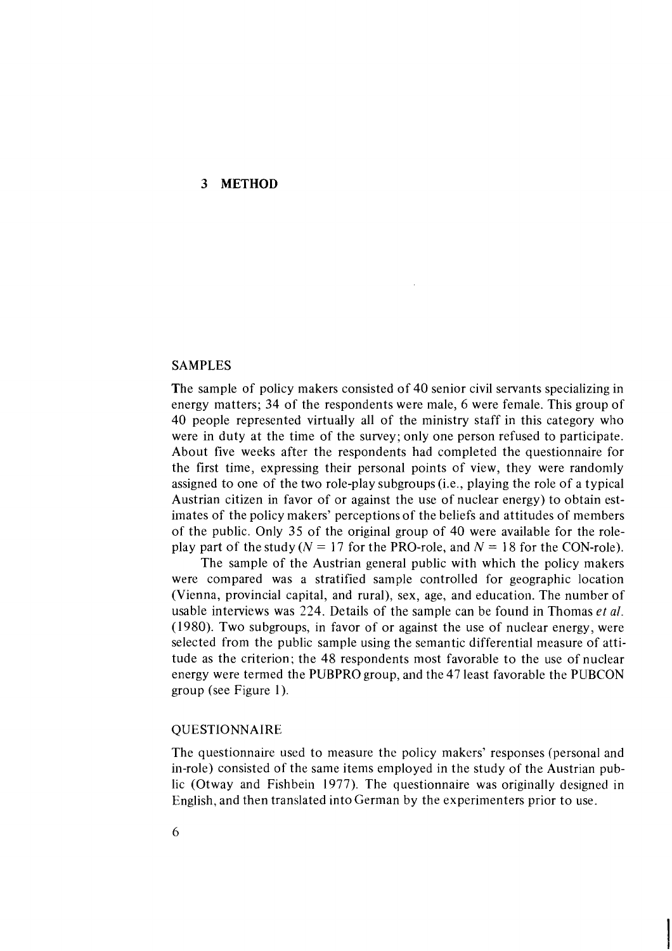### **3** METHOD

### SAMPLES

The sample of policy makers consisted of 40 senior civil servants specializing in energy matters; 34 of the respondents were male, 6 were female. This group of 40 people represented virtually all of the ministry staff in this category who were in duty at the time of the survey; only one person refused to participate. About five weeks after the respondents had completed the questionnaire for the first time, expressing their personal points of view, they were randomly assigned to one of the two role-play subgroups (i.e., playing the role of a typical Austrian citizen in favor of or against the use of nuclear energy) to obtain estimates of the policy makers' perceptions of the beliefs and attitudes of members of the public. Only 35 of the original group of 40 were available for the roleplay part of the study ( $N = 17$  for the PRO-role, and  $N = 18$  for the CON-role).

The sample of the Austrian general public with which the policy makers were compared was a stratified sample controlled for geographic location (Vienna, provincial capital, and rural), sex, age, and education. The number of usable interviews was 224. Details of the sample can be found in Thomas *et al.*  (1 980). Two subgroups, in favor of or against the use of nuclear energy, were selected from the public sample using the semantic differential measure of attitude as the criterion; the 48 respondents most favorable to the use of nuclear energy were termed the PUBPRO group, and the 47 least favorable the PUBCON group (see Figure 1).

#### QUESTIONNAIRE

The questionnaire used to measure the policy makers' responses (personal and in-role) consisted of the same items employed in the study of the Austrian public (Otway and Fishbein 1977). The questionnaire was originally designed in English, and then translated intoGerman by the experimenters prior to use.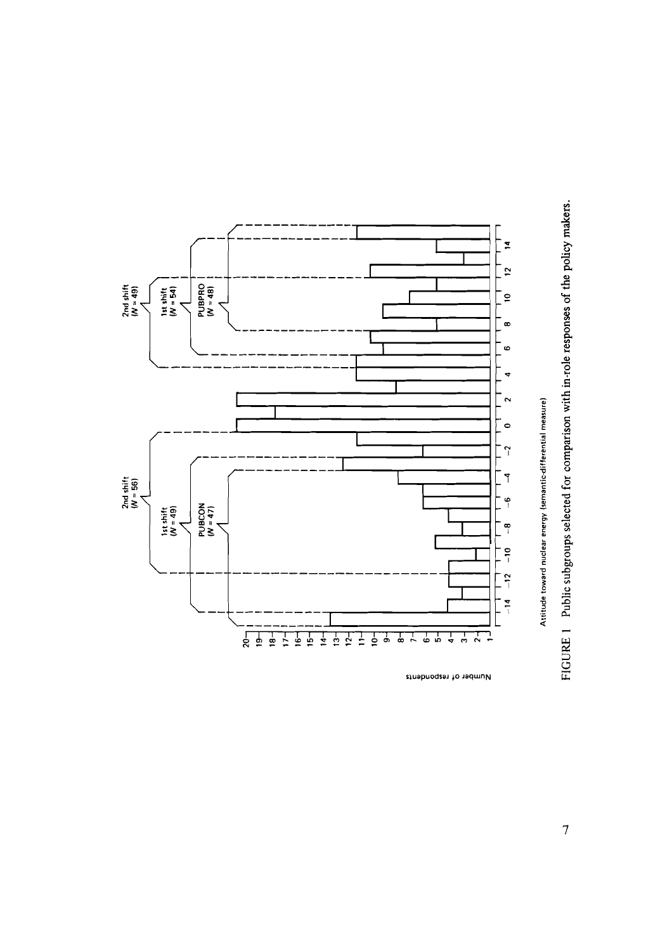

Attitude toward nuclear energy (semantic-differential measure)

FIGURE 1 Public subgroups selected for comparison with in-role responses of the policy makers.

Number of respondents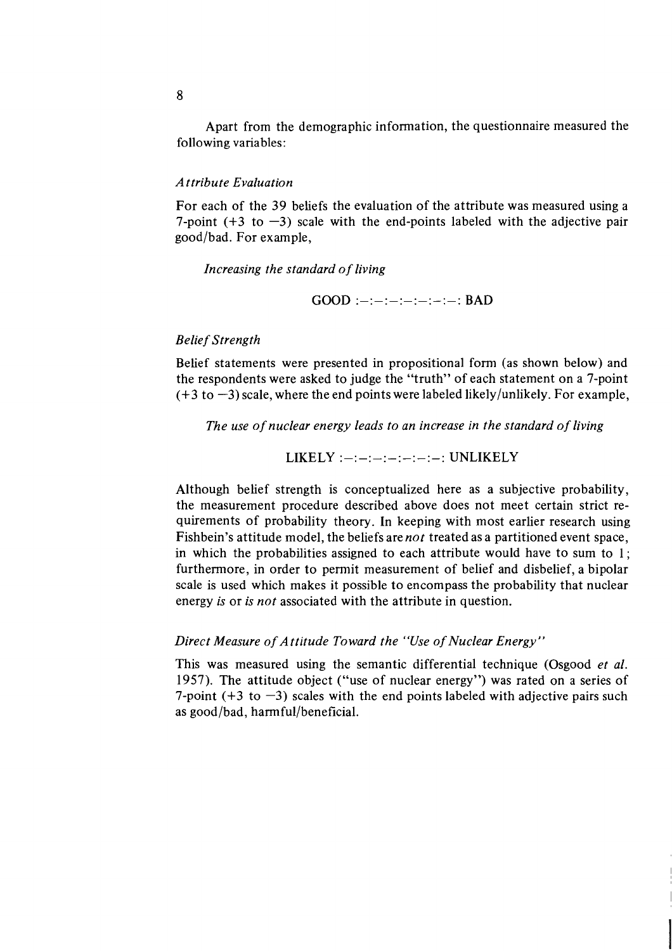Apart from the demographic information, the questionnaire measured the following variables:

### *Attribute Evaluation*

For each of the 39 beliefs the evaluation of the attribute was measured using a 7-point  $(+3 \text{ to } -3)$  scale with the end-points labeled with the adjective pair good/bad. For example,

*Increasing the standard of living* 

 $GOOD :--:-:-:-:-: BAD$ 

### *Belief Strength*

Belief statements were presented in propositional form (as shown below) and the respondents were asked to judge the "truth" of each statement on a 7-point  $(+3 \text{ to } -3)$  scale, where the end points were labeled likely/unlikely. For example,

*The use of nuclear energy leads to an increase in the standard of living* 

 $LIKELY:--:-:-:-:-: UNLIKELY$ 

Although belief strength is conceptualized here as a subjective probability, the measurement procedure described above does not meet certain strict requirements of probability theory. In keeping with most earlier research using Fishbein's attitude model, the beliefs are *not* treated as a partitioned event space, in which the probabilities assigned to each attribute would have to sum to  $1$ ; furthermore, in order to permit measurement of belief and disbelief, a bipolar scale is used which makes it possible to encompass the probability that nuclear energy *is* or *is not* associated with the attribute in question.

## *Direct Measure of Attitude Toward the "Use of Nuclear Energy"*

This was measured using the semantic differential technique (Osgood *et al.*  1957). The attitude object ("use of nuclear energy") was rated on a series of 7-point  $(+3 \text{ to } -3)$  scales with the end points labeled with adjective pairs such as good/bad, harmful/beneficial.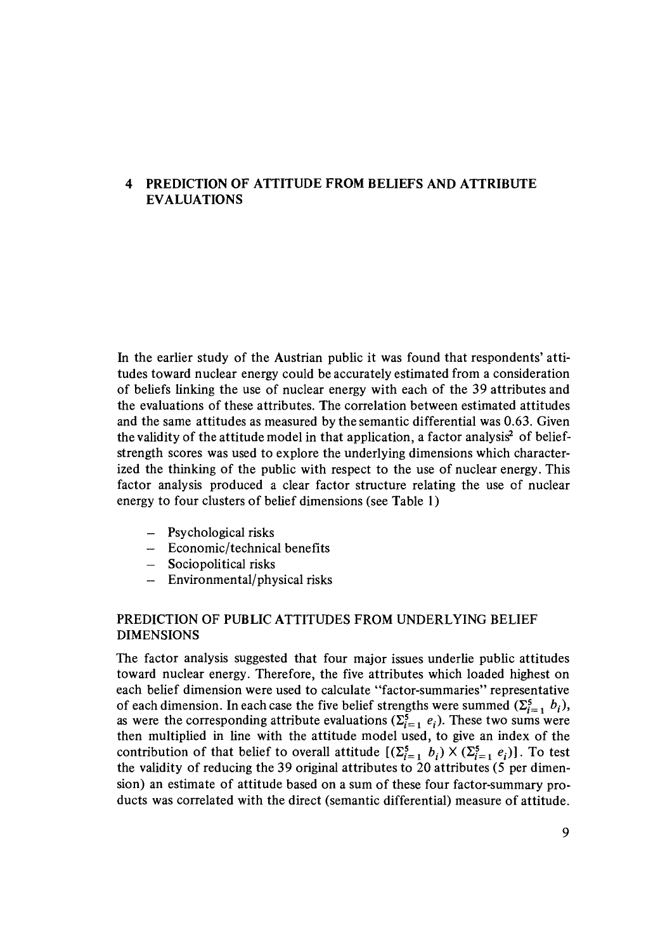## **4** PREDICTION OF ATTITUDE FROM BELIEFS AND ATTRIBUTE EVALUATIONS

In the earlier study of the Austrian public it was found that respondents' attitudes toward nuclear energy could be accurately estimated from a consideration of beliefs linking the use of nuclear energy with each of the **39** attributes and the evaluations of these attributes. The correlation between estimated attitudes and the same attitudes as measured by the semantic differential was **0.63.** Given the validity of the attitude model in that application, a factor analysis<sup>2</sup> of beliefstrength scores was used to explore the underlying dimensions which characterized the thinking of the public with respect to the use of nuclear energy. This factor analysis produced a clear factor structure relating the use of nuclear energy to four clusters of belief dimensions (see Table 1)

- Psychological risks
- Economic/technical benefits
- Sociopolitical risks
- Environmental/physical risks

## PREDICTION OF PUBLIC ATTITUDES FROM UNDERLYING BELIEF DIMENSIONS

The factor analysis suggested that four major issues underlie public attitudes toward nuclear energy. Therefore, the five attributes which loaded highest on each belief dimension were used to calculate "factor-summaries" representative of each dimension. In each case the five belief strengths were summed  $(\sum_{i=1}^{5} b_i)$ , as were the corresponding attribute evaluations  $(\sum_{i=1}^{5} e_i)$ . These two sums were then multiplied in line with the attitude model used, to give an index of the contribution of that belief to overall attitude  $[(\sum_{i=1}^{5} b_i) \times (\sum_{i=1}^{5} e_i)]$ . To test the validity of reducing the **39** original attributes to **20** attributes (5 per dimension) an estimate of attitude based on a sum of these four factor-summary products was correlated with the direct (semantic differential) measure of attitude.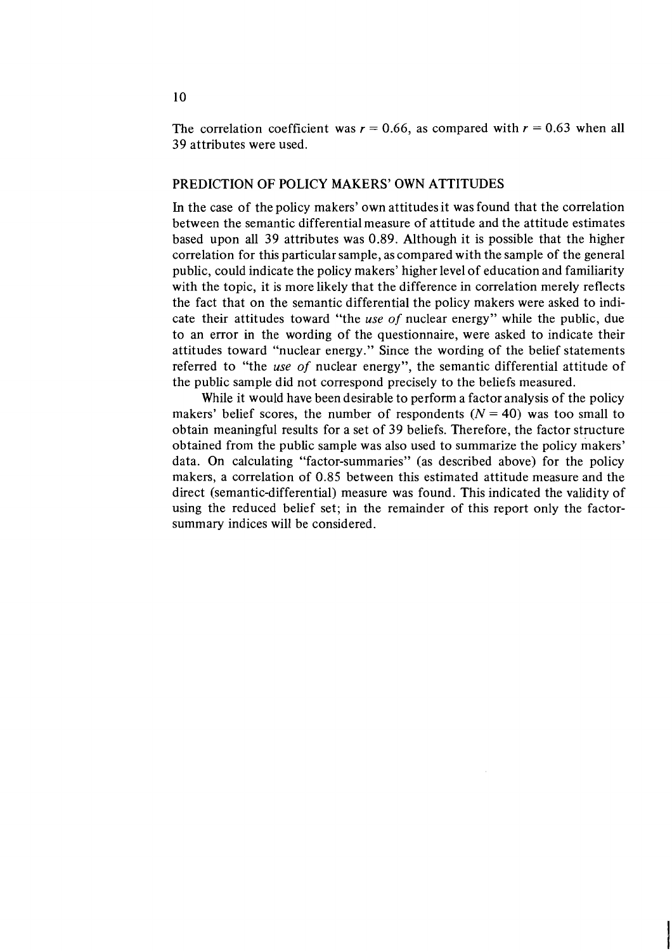The correlation coefficient was  $r = 0.66$ , as compared with  $r = 0.63$  when all 39 attributes were used.

#### PREDICTION OF POLICY MAKERS' OWN ATTITUDES

In the case of the policy makers' own attitudes it was found that the correlation between the semantic differentialmeasure of attitude and the attitude estimates based upon all 39 attributes was 0.89. Although it is possible that the higher correlation for this particular sample, as compared with the sample of the general public, could indicate the policy makers' higher level of education and familiarity with the topic, it is more likely that the difference in correlation merely reflects the fact that on the semantic differential the policy makers were asked to indicate their attitudes toward "the **use of** nuclear energy" while the public, due to an error in the wording of the questionnaire, were asked to indicate their attitudes toward "nuclear energy." Since the wording of the belief statements referred to "the **use of** nuclear energy", the semantic differential attitude of the public sample did not correspond precisely to the beliefs measured.

While it would have been desirable to perform a factor analysis of the policy makers' belief scores, the number of respondents  $(N = 40)$  was too small to obtain meaningful results for a set of 39 beliefs. Therefore, the factor structure obtained from the public sample was also used to summarize the policy makers' data. On calculating "factor-summaries" (as described above) for the policy makers, a correlation of 0.85 between this estimated attitude measure and the direct (semantic-differential) measure was found. This indicated the validity of using the reduced belief set; in the remainder of this report only the factorsummary indices will be considered.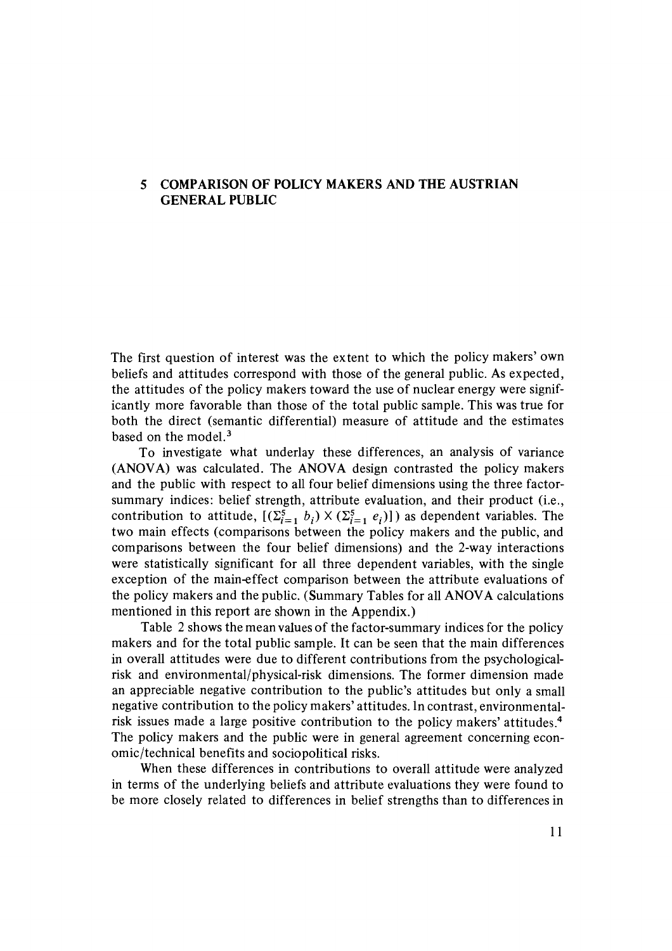## **5** COMPARISON OF POLICY MAKERS AND THE AUSTRIAN GENERAL PUBLIC

The first question of interest was the extent to which the policy makers' own beliefs and attitudes correspond with those of the general public. As expected, the attitudes of the policy makers toward the use of nuclear energy were significantly more favorable than those of the total public sample. This was true for both the direct (semantic differential) measure of attitude and the estimates based on the model.<sup>3</sup>

To investigate what underlay these differences, an analysis of variance (ANOVA) was calculated. The ANOVA design contrasted the policy makers and the public with respect to all four belief dimensions using the three factorsummary indices: belief strength, attribute evaluation, and their product (i.e., contribution to attitude,  $[(\sum_{i=1}^{5} b_i) \times (\sum_{i=1}^{5} e_i)]$  as dependent variables. The two main effects (comparisons between the policy makers and the public, and comparisons between the four belief dimensions) and the 2-way interactions were statistically significant for all three dependent variables, with the single exception of the main-effect comparison between the attribute evaluations of the policy makers and the public. (Summary Tables for all ANOVA calculations mentioned in this report are shown in the Appendix.)

Table 2 shows the mean values of the factor-summary indices for the policy makers and for the total public sample. It can be seen that the main differences in overall attitudes were due to different contributions from the psychologicalrisk and environmental/physical-risk dimensions. The former dimension made an appreciable negative contribution to the public's attitudes but only a small negative contribution to the policy makers' attitudes. In contrast, environmentalrisk issues made a large positive contribution to the policy makers' attitudes.<sup>4</sup> The policy makers and the public were in general agreement concerning economic/technical benefits and sociopolitical risks.

When these differences in contributions to overall attitude were analyzed in terms of the underlying beliefs and attribute evaluations they were found to be more closely related to differences in belief strengths than to differences in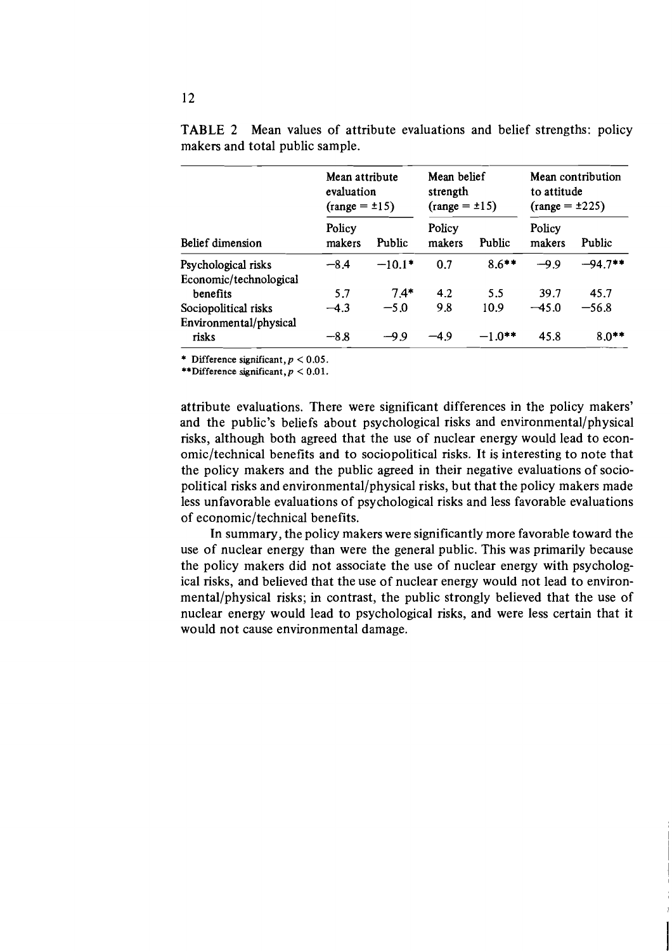|                                                | Mean attribute<br>evaluation<br>$(range = \pm 15)$ |          | Mean helief<br>strength<br>$(\text{range} = \pm 15)$ |          | to attitude<br>$(range = \pm 225)$ | Mean contribution |
|------------------------------------------------|----------------------------------------------------|----------|------------------------------------------------------|----------|------------------------------------|-------------------|
| Belief dimension                               | Policy<br>makers                                   | Public   | Policy<br>makers                                     | Public   | Policy<br>makers                   | Public            |
| Psychological risks<br>Economic/technological  | $-8.4$                                             | $-10.1*$ | 0.7                                                  | $8.6**$  | $-9.9$                             | --94.7**          |
| benefits                                       | 5.7                                                | $7.4*$   | 4.2                                                  | 5.5      | 39.7                               | 45.7              |
| Sociopolitical risks<br>Environmental/physical | $-4.3$                                             | $-5.0$   | 9.8                                                  | 10.9     | $-45.0$                            | $-56.8$           |
| risks                                          | $-8.8$                                             | -9.9     | $-4.9$                                               | $-1.0**$ | 45.8                               | $8.0***$          |

TABLE 2 Mean values of attribute evaluations and belief strengths: policy makers and total public sample.

\* **Difference significant, p** < **0.05.** 

**\*\*Difference significant,^** < **0.01.** 

attribute evaluations. There were significant differences in the policy makers' and the public's beliefs about psychological risks and environmental/physical risks, although both agreed that the use of nuclear energy would lead to economic/technical benefits and to sociopolitical risks. It is interesting to note that the policy makers and the public agreed in their negative evaluations of sociopolitical risks and environmental/physical risks, but that the policy makers made less unfavorable evaluations of psychological risks and less favorable evaluations of economic/technical benefits.

In summary, the policy makers were significantly more favorable toward the use of nuclear energy than were the general public. This was primarily because the policy makers did not associate the use of nuclear energy with psychological risks, and believed that the use of nuclear energy would not lead to environmental/physical risks; in contrast, the public strongly believed that the use of nuclear energy would lead to psychological risks, and were less certain that it would not cause environmental damage.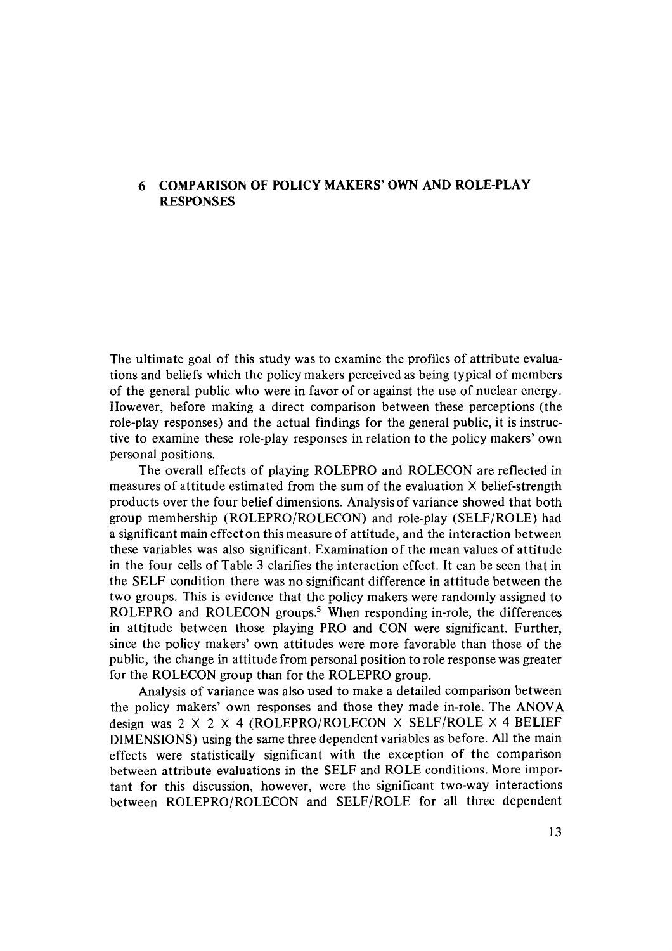## *6* COMPARISON OF POLICY MAKERS' OWN AND ROLE-PLAY **RESPONSES**

The ultimate goal of this study was to examine the profiles of attribute evaluations and beliefs which the policy makers perceived as being typical of members of the general public who were in favor of or against the use of nuclear energy. However, before making a direct comparison between these perceptions (the role-play responses) and the actual findings for the general public, it is instructive to examine these role-play responses in relation to the policy makers' own personal positions.

The overall effects of playing ROLEPRO and ROLECON are reflected in measures of attitude estimated from the sum of the evaluation X belief-strength products over the four belief dimensions. Analysisof variance showed that both group membership (ROLEPRO/ROLECON) and role-play (SELF/ROLE) had a significant main effect on this measure of attitude, and the interaction between these variables was also significant. Examination of the mean values of attitude in the four cells of Table **3** clarifies the interaction effect. It can be seen that in the SELF condition there was no significant difference in attitude between the two groups. This is evidence that the policy makers were randomly assigned to ROLEPRO and ROLECON groups.<sup>5</sup> When responding in-role, the differences in attitude between those playing PRO and CON were significant. Further, since the policy makers' own attitudes were more favorable than those of the public, the change in attitude from personal position to role response was greater for the ROLECON group than for the ROLEPRO group.

Analysis of variance was also used to make a detailed comparison between the policy makers' own responses and those they made in-role. The ANOVA design was  $2 \times 2 \times 4$  (ROLEPRO/ROLECON  $\times$  SELF/ROLE  $\times$  4 BELIEF DIMENSIONS) using the same three dependent variables as before. All the main effects were statistically significant with the exception of the comparison between attribute evaluations in the SELF and ROLE conditions. More important for this discussion, however, were the significant two-way interactions between ROLEPRO/ROLECON and SELF/ROLE for all three dependent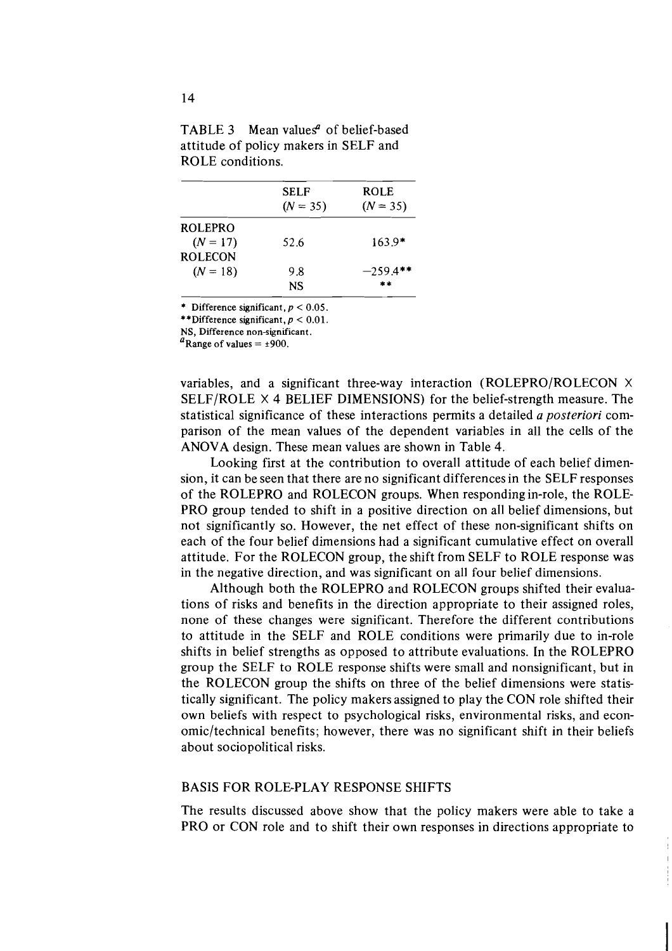|                | <b>SELF</b><br>$(N = 35)$ | <b>ROLE</b><br>$(N = 35)$ |
|----------------|---------------------------|---------------------------|
| <b>ROLEPRO</b> |                           |                           |
| $(N = 17)$     | 52.6                      | $163.9*$                  |
| <b>ROLECON</b> |                           |                           |
| $(N = 18)$     | 9.8                       | $-259.4$ **               |
|                | NS                        | **                        |

TABLE 3 Mean values<sup>*a*</sup> of belief-based attitude of policy makers in SELF and ROLE conditions.

\* **Difference significant, p** < **0.05.** 

**\*\*Difference significant, p** < **0.0 1.** 

**NS, Difference non-significant.** 

 $^4$ Range of values  $= \pm 900$ .

variables, and a significant three-way interaction (ROLEPRO/ROLECON X SELF/ROLE X 4 BELIEF DIMENSIONS) for the belief-strength measure. The statistical significance of these interactions permits a detailed a posteriori comparison of the mean values of the dependent variables in all the cells of the ANOVA design. These mean values are shown in Table 4.

Looking first at the contribution to overall attitude of each belief dimension, it can be seen that there are no significant differences in the SELF responses of the ROLEPRO and ROLECON groups. When responding in-role, the ROLE-PRO group tended to shift in a positive direction on all belief dimensions, but not significantly so. However, the net effect of these non-significant shifts on each of the four belief dimensions had a significant cumulative effect on overall attitude. For the ROLECON group, the shift from SELF to ROLE response was in the negative direction, and was significant on all four belief dimensions.

Although both the ROLEPRO and ROLECON groups shifted their evaluations of risks and benefits in the direction appropriate to their assigned roles, none of these changes were significant. Therefore the different contributions to attitude in the SELF and ROLE conditions were primarily due to in-role shifts in belief strengths as opposed to attribute evaluations. In the ROLEPRO group the SELF to ROLE response shifts were small and nonsignificant, but in the ROLECON group the shifts on three of the belief dimensions were statistically significant. The policy makers assigned to play the CON role shifted their own beliefs with respect to psychological risks, environmental risks, and economic/technical benefits; however, there was no significant shift in their beliefs about sociopolitical risks.

### BASIS FOR ROLE-PLAY RESPONSE SHIFTS

The results discussed above show that the policy makers were able to take a PRO or CON role and to shift their own responses in directions appropriate to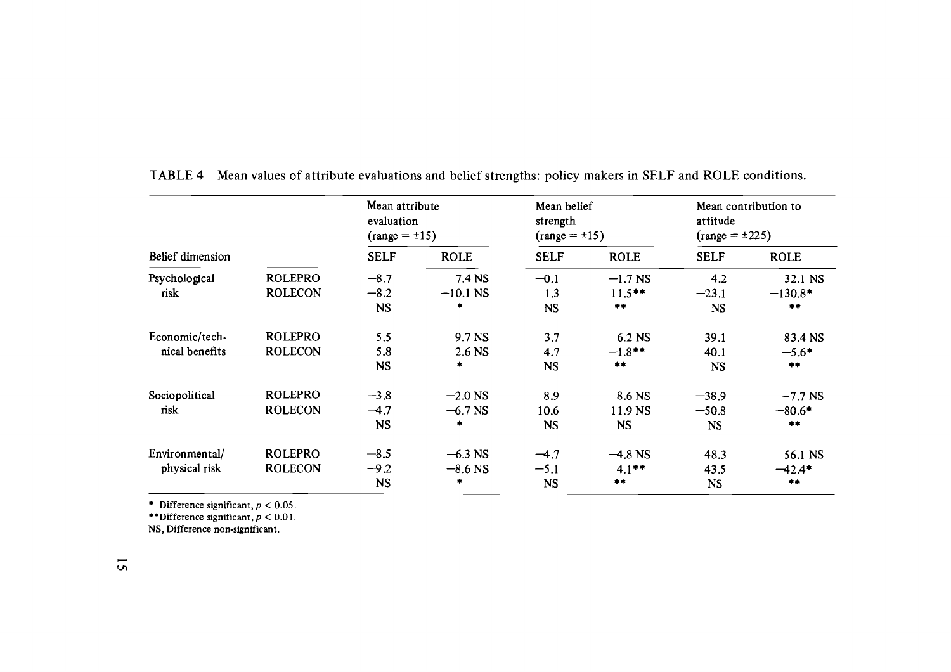|                                  |                                  | Mean attribute<br>evaluation<br>$(range = \pm 15)$ |                             | Mean belief<br>strength<br>$(range = \pm 15)$ |                                    | Mean contribution to<br>attitude<br>$(range = \pm 225)$ |                               |
|----------------------------------|----------------------------------|----------------------------------------------------|-----------------------------|-----------------------------------------------|------------------------------------|---------------------------------------------------------|-------------------------------|
| Belief dimension                 |                                  | <b>SELF</b>                                        | <b>ROLE</b>                 | <b>SELF</b>                                   | <b>ROLE</b>                        | <b>SELF</b>                                             | <b>ROLE</b>                   |
| Psychological<br>risk            | <b>ROLEPRO</b><br><b>ROLECON</b> | $-8.7$<br>$-8.2$<br><b>NS</b>                      | 7.4 NS<br>$-10.1$ NS<br>*   | $-0.1$<br>1.3<br><b>NS</b>                    | $-1.7$ NS<br>$11.5***$<br>**       | 4.2<br>$-23.1$<br><b>NS</b>                             | 32.1 NS<br>$-130.8*$<br>$***$ |
| Economic/tech-<br>nical benefits | <b>ROLEPRO</b><br><b>ROLECON</b> | 5.5<br>5.8<br><b>NS</b>                            | 9.7 NS<br>2.6 NS<br>۰       | 3.7<br>4.7<br><b>NS</b>                       | 6.2 NS<br>$-1.8$ **<br>$\pm$ $\pm$ | 39.1<br>40.1<br><b>NS</b>                               | 83.4 NS<br>$-5.6*$<br>未来      |
| Sociopolitical<br>risk           | <b>ROLEPRO</b><br><b>ROLECON</b> | $-3.8$<br>$-4.7$<br>NS                             | $-2.0$ NS<br>$-6.7$ NS<br>۰ | 8.9<br>10.6<br><b>NS</b>                      | 8.6 NS<br>11.9 NS<br><b>NS</b>     | $-38.9$<br>$-50.8$<br><b>NS</b>                         | $-7.7$ NS<br>$-80.6*$<br>未来   |
| Environmental/<br>physical risk  | <b>ROLEPRO</b><br><b>ROLECON</b> | $-8.5$<br>$-9.2$<br><b>NS</b>                      | $-6.3$ NS<br>$-8.6$ NS<br>۰ | $-4.7$<br>$-5.1$<br><b>NS</b>                 | $-4.8$ NS<br>$4.1***$<br>**        | 48.3<br>43.5<br><b>NS</b>                               | 56.1 NS<br>$-42.4*$<br>**     |

**TABLE 4 Mean values of attribute evaluations and belief strengths: policy makers in SELF and ROLE conditions.** 

\* **Difference significant, p** < **0.05.** 

**\*\*Difference significant, p** < **0.0 1.** 

**NS, Difference non-significant.**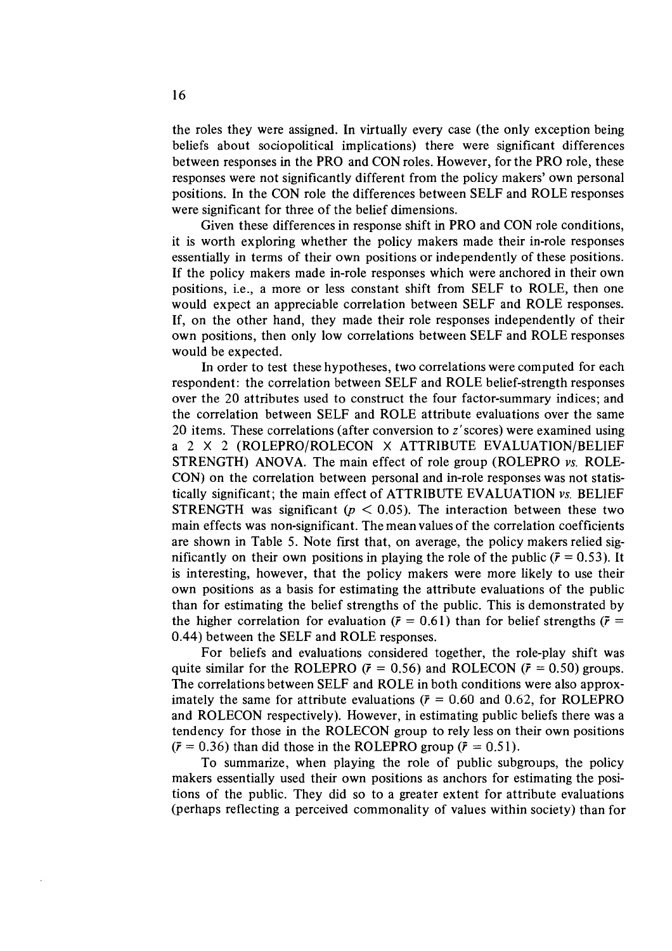the roles they were assigned. In virtually every case (the only exception being beliefs about sociopolitical implications) there were significant differences between responses in the PRO and CON roles. However, for the PRO role, these responses were not significantly different from the policy makers' own personal positions. In the CON role the differences between SELF and ROLE responses were significant for three of the belief dimensions.

Given these differences in response shift in PRO and CON role conditions, it is worth exploring whether the policy makers made their in-role responses essentially in terms of their own positions or independently of these positions. If the policy makers made in-role responses which were anchored in their own positions, i.e., a more or less constant shift from SELF to ROLE, then one would expect an appreciable correlation between SELF and ROLE responses. If, on the other hand, they made their role responses independently of their own positions, then only low correlations between SELF and ROLE responses would be expected.

In order to test these hypotheses, two correlations were computed for each respondent: the correlation between SELF and ROLE belief-strength responses over the 20 attributes used to construct the four factor-summary indices; and the correlation between SELF and ROLE attribute evaluations over the same 20 items. These correlations (after conversion to z'scores) were examined using a 2 X 2 (ROLEPRO/ROLECON X ATTRIBUTE EVALUATION/BELIEF STRENGTH) ANOVA. The main effect of role group (ROLEPRO **vs.** ROLE-CON) on the correlation between personal and in-role responses was not statistically significant; the main effect of ATTRIBUTE EVALUATION **vs.** BELIEF STRENGTH was significant ( $p < 0.05$ ). The interaction between these two main effects was non-significant. The meanvalues of the correlation coefficients are shown in Table 5. Note first that, on average, the policy makers relied significantly on their own positions in playing the role of the public ( $\bar{r} = 0.53$ ). It is interesting, however, that the policy makers were more likely to use their own positions as a basis for estimating the attribute evaluations of the public than for estimating the belief strengths of the public. This is demonstrated by the higher correlation for evaluation ( $\bar{r} = 0.61$ ) than for belief strengths ( $\bar{r} =$ 0.44) between the SELF and ROLE responses.

For beliefs and evaluations considered together, the role-play shift was quite similar for the ROLEPRO ( $\bar{r} = 0.56$ ) and ROLECON ( $\bar{r} = 0.50$ ) groups. The correlations between SELF and ROLE in both conditions were also approximately the same for attribute evaluations ( $\bar{r} = 0.60$  and 0.62, for ROLEPRO and ROLECON respectively). However, in estimating public beliefs there was a tendency for those in the ROLECON group to rely less on their own positions  $(\bar{r} = 0.36)$  than did those in the ROLEPRO group ( $\bar{r} = 0.51$ ).

To summarize, when playing the role of public subgroups, the policy makers essentially used their own positions as anchors for estimating the positions of the public. They did so to a greater extent for attribute evaluations (perhaps reflecting a perceived commonality of values within society) than for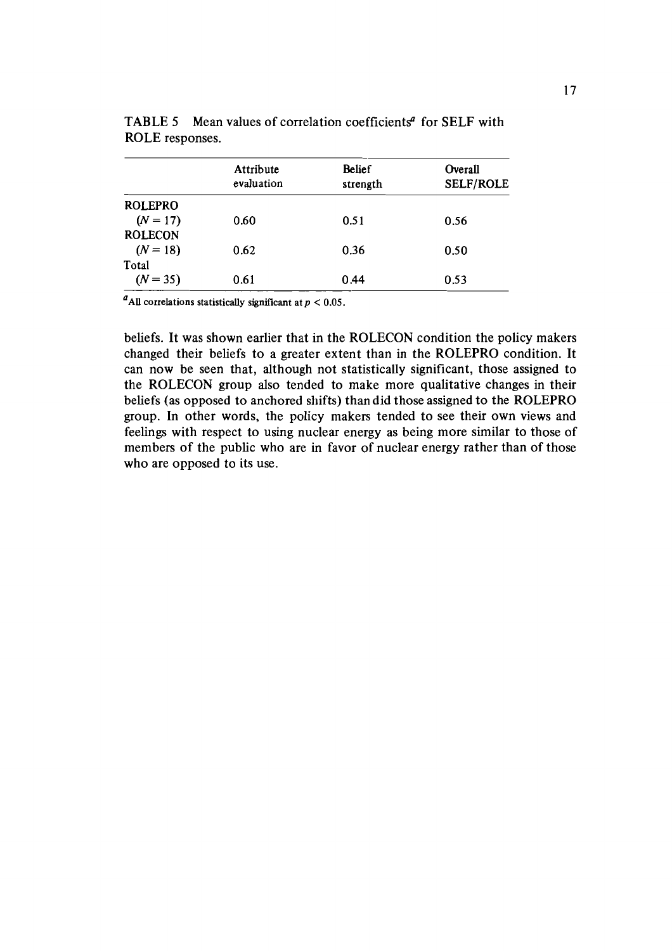|                | Attribute<br>evaluation | <b>Belief</b><br>strength | Overall<br><b>SELF/ROLE</b> |
|----------------|-------------------------|---------------------------|-----------------------------|
| <b>ROLEPRO</b> |                         |                           |                             |
| $(N = 17)$     | 0.60                    | 0.51                      | 0.56                        |
| <b>ROLECON</b> |                         |                           |                             |
| $(N = 18)$     | 0.62                    | 0.36                      | 0.50                        |
| Total          |                         |                           |                             |
| $(N = 35)$     | 0.61                    | 0.44                      | 0.53                        |

**TABLE 5** Mean values of correlation coefficients<sup>*a*</sup> for **SELF** with **ROLE** responses.

 $^a$ All correlations statistically significant at  $p < 0.05$ .

beliefs. It was shown earlier that in the **ROLECON** condition the policy makers changed their beliefs to a greater extent than in the **ROLEPRO** condition. It can now be seen that, although not statistically significant, those assigned to the **ROLECON** group also tended to make more qualitative changes in their beliefs (as opposed to anchored diifts) than did those assigned to the **ROLEPRO**  group. In other words, the policy makers tended to see their own views and feelings with respect to using nuclear energy as being more similar to those of members of the public who are in favor of nuclear energy rather than of those who are opposed to its use.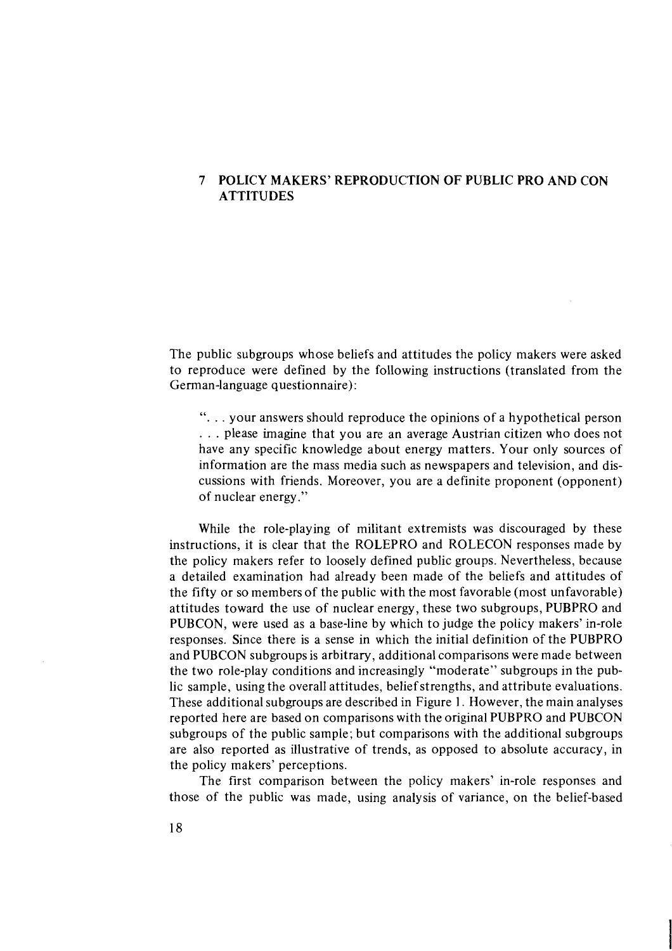## **7** POLICY MAKERS' REPRODUCTION OF PUBLIC PRO AND CON **ATTITUDES**

The public subgroups whose beliefs and attitudes the policy makers were asked to reproduce were defined by the following instructions (translated from the German-language questionnaire):

". . . your answers should reproduce the opinions of a hypothetical person . . . please imagine that you are an average Austrian citizen who does not have any specific knowledge about energy matters. Your only sources of information are the mass media such as newspapers and television, and discussions with friends. Moreover, you are a definite proponent (opponent) of nuclear energy ."

While the role-playing of militant extremists was discouraged by these instructions, it is clear that the ROLEPRO and ROLECON responses made by the policy makers refer to loosely defined public groups. Nevertheless, because a detailed examination had already been made of the beliefs and attitudes of the fifty or so members of the public with the most favorable (most unfavorable) attitudes toward the use of nuclear energy, these two subgroups, PUBPRO and PUBCON, were used as a base-line by which to judge the policy makers' in-role responses. Since there is a sense in which the initial definition of the PUBPRO and PUBCON subgroups is arbitrary, additional comparisons were made between the two role-play conditions and increasingly "moderate" subgroups in the public sample, using the overall attitudes, belief strengths, and attribute evaluations. These additional subgroups are described in Figure 1. However, the main analyses reported here are based on comparisons with the original PUBPRO and PUBCON subgroups of the public sample; but comparisons with the additional subgroups are also reported as illustrative of trends, as opposed to absolute accuracy, in the policy makers' perceptions.

The first comparison between the policy makers' in-role responses and those of the public was made, using analysis of variance, on the belief-based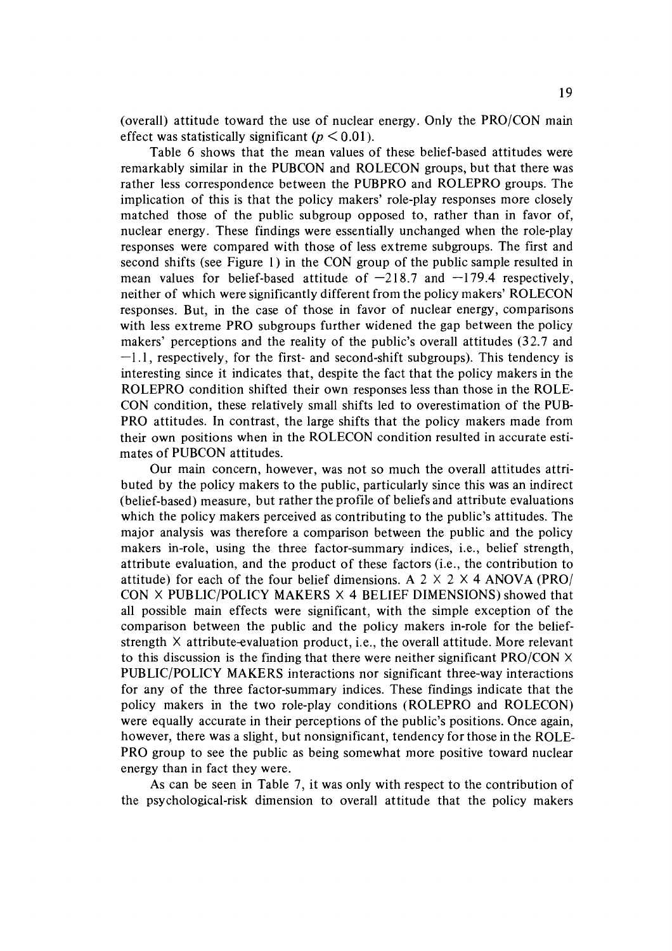(overall) attitude toward the use of nuclear energy. Only the  $PRO/CON$  main effect was statistically significant  $(p < 0.01)$ .

Table 6 shows that the mean values of these belief-based attitudes were remarkably similar in the PUBCON and ROLECON groups, but that there was rather less correspondence between the PUBPRO and ROLEPRO groups. The implication of this is that the policy makers' role-play responses more closely matched those of the public subgroup opposed to, rather than in favor of, nuclear energy. These findings were essentially unchanged when the role-play responses were compared with those of less extreme subgroups. The first and second shifts (see Figure 1) in the CON group of the public sample resulted in mean values for belief-based attitude of  $-218.7$  and  $-179.4$  respectively, neither of which were significantly different from the policy makers' ROLECON responses. But, in the case of those in favor of nuclear energy, comparisons with less extreme PRO subgroups further widened the gap between the policy makers' perceptions and the reality of the public's overall attitudes (32.7 and  $-1.1$ , respectively, for the first- and second-shift subgroups). This tendency is interesting since it indicates that, despite the fact that the policy makers in the ROLEPRO condition shifted their own responses less than those in the ROLE-CON condition, these relatively small shifts led to overestimation of the PUB-PRO attitudes. In contrast, the large shifts that the policy makers made from their own positions when in the ROLECON condition resulted in accurate estimates of PUBCON attitudes.

Our main concern, however, was not so much the overall attitudes attributed by the policy makers to the public, particularly since this was an indirect (belief-based) measure, but rather the profile of beliefs and attribute evaluations which the policy makers perceived as contributing to the public's attitudes. The major analysis was therefore a comparison between the public and the policy makers in-role, using the three factor-summary indices, i.e., belief strength, attribute evaluation, and the product of these factors (i.e., the contribution to attitude) for each of the four belief dimensions. A  $2 \times 2 \times 4$  ANOVA (PRO/  $CON \times PUBLIC/POLICY MAKERS \times 4 BELIEF DIMENSIONS) showed that$ all possible main effects were significant, with the simple exception of the comparison between the public and the policy makers in-role for the beliefstrength  $\times$  attribute-evaluation product, i.e., the overall attitude. More relevant to this discussion is the finding that there were neither significant PRO/CON  $\times$ PUBLIC/POLICY MAKERS interactions nor significant three-way interactions for any of the three factor-summary indices. These findings indicate that the policy makers in the two role-play conditions (ROLEPRO and ROLECON) were equally accurate in their perceptions of the public's positions. Once again, however, there was a slight, but nonsignificant, tendency for those in the ROLE-PRO group to see the public as being somewhat more positive toward nuclear energy than in fact they were.

As can be seen in Table 7, it was only with respect to the contribution of the psychological-risk dimension to overall attitude that the policy makers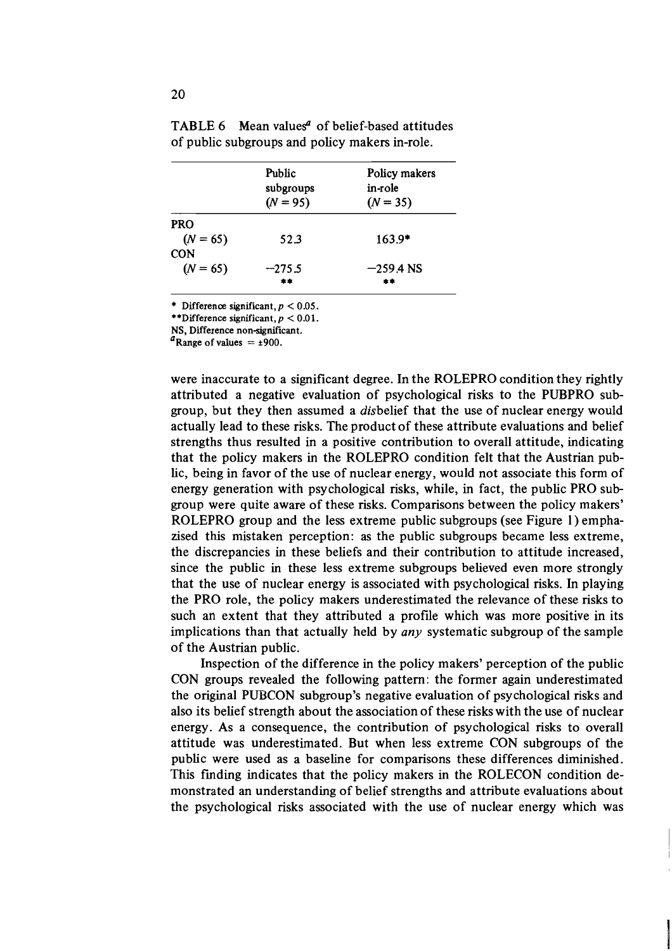|                          | Public<br>subgroups<br>$(N = 95)$ | Policy makers<br>in-role<br>$(N = 35)$ |
|--------------------------|-----------------------------------|----------------------------------------|
| <b>PRO</b>               |                                   |                                        |
| $(N = 65)$<br><b>CON</b> | 52.3                              | $163.9*$                               |
| $(N = 65)$               | $-275.5$<br>**                    | $-259.4$ NS<br>金本                      |

TABLE  $6$  Mean values<sup> $d$ </sup> of belief-based attitudes of public subgroups and policy makers in-role.

\* **Difference significant, p** < **0.05.** 

**\*\*Difference significant, p** < **0.0 1.** 

**NS, Difference non-significant.** 

 $^a$ Range of values =  $\pm 900$ .

were inaccurate to a significant degree. In the ROLEPRO condition they rightly attributed a negative evaluation of psychological risks to the PUBPRO subgroup, but they then assumed a disbelief that the use of nuclear energy would actually lead to these risks. The product of these attribute evaluations and belief strengths thus resulted in a positive contribution to overall attitude, indicating that the policy makers in the ROLEPRO condition felt that the Austrian public, being in favor of the use of nuclear energy, would not associate this form of energy generation with psychological risks, while, in fact, the public PRO subgroup were quite aware of these risks. Comparisons between the policy makers' ROLEPRO group and the less extreme public subgroups (see Figure 1) emphazised this mistaken perception: as the public subgroups became less extreme, the discrepancies in these beliefs and their contribution to attitude increased, since the public in these less extreme subgroups believed even more strongly that the use of nuclear energy is associated with psychological risks. In playing the PRO role, the policy makers underestimated the relevance of these risks to such an extent that they attributed a profile which was more positive in its implications than that actually held by  $any$  systematic subgroup of the sample of the Austrian public.

Inspection of the difference in the policy makers' perception of the public CON groups revealed the following pattern: the former again underestimated the original PUBCON subgroup's negative evaluation of psychological risks and also its belief strength about the association of these risks with the use of nuclear energy. As a consequence, the contribution of psychological risks to overall attitude was underestimated. But when less extreme CON subgroups of the public were used as a baseline for comparisons these differences diminished. This finding indicates that the policy makers in the ROLECON condition demonstrated an understanding of belief strengths and attribute evaluations about the psychological risks associated with the use of nuclear energy which was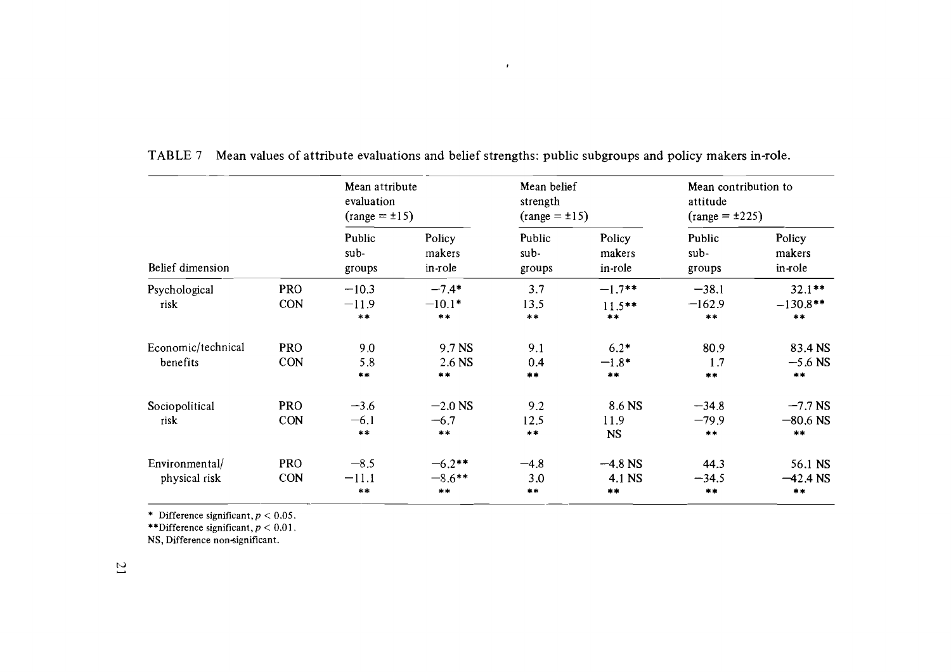|                                 |                          | Mean attribute<br>evaluation<br>$(range = \pm 15)$ |                                        | Mean belief<br>strength<br>$(range = \pm 15)$ |                                   | Mean contribution to<br>attitude<br>$(range = \pm 225)$ |                                        |
|---------------------------------|--------------------------|----------------------------------------------------|----------------------------------------|-----------------------------------------------|-----------------------------------|---------------------------------------------------------|----------------------------------------|
| Belief dimension                |                          | Public<br>sub-<br>groups                           | Policy<br>makers<br>in-role            | Public<br>$sub-$<br>groups                    | Policy<br>makers<br>in-role       | Public<br>sub-<br>groups                                | Policy<br>makers<br>in-role            |
| Psychological<br>risk           | <b>PRO</b><br><b>CON</b> | $-10.3$<br>$-11.9$<br>$* *$                        | $-7.4*$<br>$-10.1*$<br>$\star$ $\star$ | 3.7<br>13.5<br>$* *$                          | $-1.7$ **<br>$11.5***$<br>**      | $-38.1$<br>$-162.9$<br>$***$                            | $32.1**$<br>$-130.8**$<br>$\star\star$ |
| Economic/technical<br>benefits  | <b>PRO</b><br>CON        | 9.0<br>5.8<br>$\star$ $\times$                     | 9.7 NS<br>2.6 NS<br>$\star\star$       | 9.1<br>0.4<br>$***$                           | $6.2*$<br>$-1.8*$<br>$\star\star$ | 80.9<br>1.7<br>$***$                                    | 83.4 NS<br>$-5.6$ NS<br>$\star\star$   |
| Sociopolitical<br>risk          | <b>PRO</b><br><b>CON</b> | $-3.6$<br>$-6.1$<br>$\star$ $\star$                | $-2.0$ NS<br>$-6.7$<br>$\star$ $\star$ | 9.2<br>12.5<br>$***$                          | 8.6 NS<br>11.9<br><b>NS</b>       | $-34.8$<br>$-79.9$<br>$\approx$ $\approx$               | $-7.7$ NS<br>$-80.6$ NS<br>$***$       |
| Environmental/<br>physical risk | <b>PRO</b><br>CON        | $-8.5$<br>$-11.1$<br>$***$                         | $-6.2**$<br>$-8.6**$<br>$***$          | $-4.8$<br>3.0<br>$***$                        | $-4.8$ NS<br>4.1 NS<br>$* *$      | 44.3<br>$-34.5$<br>$\mathbf{z}$                         | 56.1 NS<br>$-42.4$ NS<br>$***$         |

**TABLE** 7 Mean values of attribute evaluations and belief strengths: public subgroups and policy makers in-role.

 $\mathcal{A}^{\pm}$ 

\* Difference significant,  $p < 0.05$ .

\*\*Difference significant,  $p < 0.01$ .

NS, Difference non-significant.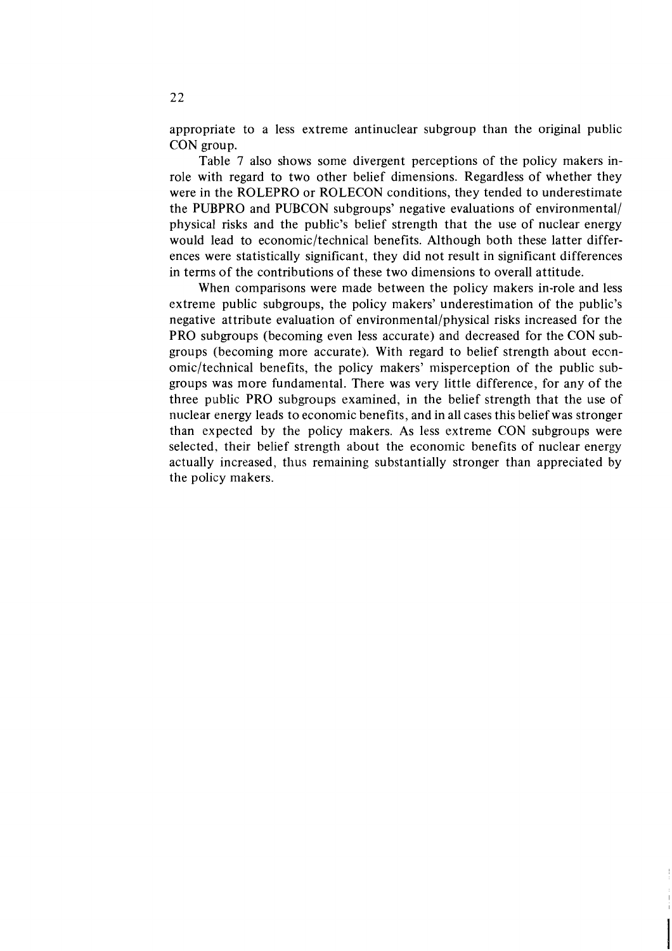appropriate to a less extreme antinuclear subgroup than the original public CON group.

Table 7 also shows some divergent perceptions of the policy makers inrole with regard to two other belief dimensions. Regardless of whether they were in the ROLEPRO or ROLECON conditions, they tended to underestimate the PUBPRO and PUBCON subgroups' negative evaluations of environmental/ physical risks and the public's belief strength that the use of nuclear energy would lead to economic/technical benefits. Although both these latter differences were statistically significant, they did not result in significant differences in terms of the contributions of these two dimensions to overall attitude.

When comparisons were made between the policy makers in-role and less extreme public subgroups, the policy makers' underestimation of the public's negative attribute evaluation of environmental/physical risks increased for the PRO subgroups (becoming even less accurate) and decreased for the CON subgroups (becoming more accurate). With regard to belief strength about economic/technical benefits, the policy makers' misperception of the public subgroups was more fundamental. There was very little difference, for any of the three public PRO subgroups examined, in the belief strength that the use of nuclear energy leads to economic benefits, and in all cases this belief was stronger than expected by the policy makers. As less extreme CON subgroups were selected, their belief strength about the economic benefits of nuclear energy actually increased, thus remaining substantially stronger than appreciated by the policy makers.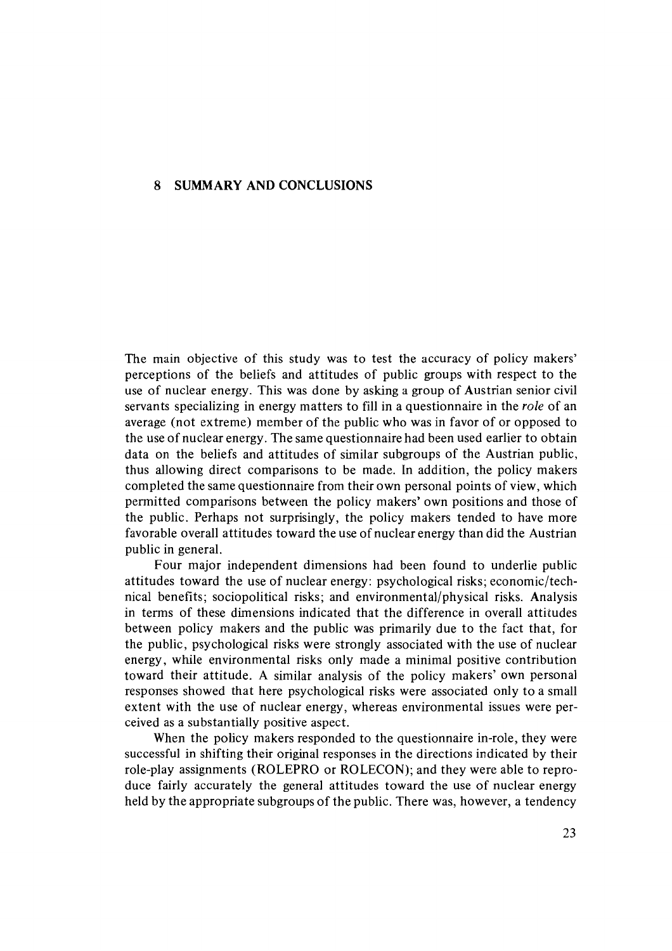## **8** SUMMARY AND CONCLUSIONS

The main objective of this study was to test the accuracy of policy makers' perceptions of the beliefs and attitudes of public groups with respect to the use of nuclear energy. This was done by asking a group of Austrian senior civil servants specializing in energy matters to fill in a questionnaire in the role of an average (not extreme) member of the public who was in favor of or opposed to the use of nuclear energy. The same questionnaire had been used earlier to obtain data on the beliefs and attitudes of similar subgroups of the Austrian public, thus allowing direct comparisons to be made. In addition, the policy makers completed the same questionnaire from their own personal points of view, which permitted comparisons between the policy makers' own positions and those of the public. Perhaps not surprisingly, the policy makers tended to have more favorable overall attitudes toward the use of nuclear energy than did the Austrian public in general.

Four major independent dimensions had been found to underlie public attitudes toward the use of nuclear energy: psychological risks; economic/technical benefits; sociopolitical risks; and environmental/physical risks. Analysis in terms of these dimensions indicated that the difference in overall attitudes between policy makers and the public was primarily due to the fact that, for the public, psychological risks were strongly associated with the use of nuclear energy, while environmental risks only made a minimal positive contribution toward their attitude. A similar analysis of the policy makers' own personal responses showed that here psychological risks were associated only to a small extent with the use of nuclear energy, whereas environmental issues were perceived as a substantially positive aspect.

When the policy makers responded to the questionnaire in-role, they were successful in shifting their original responses in the directions indicated by their role-play assignments (ROLEPRO or ROLECON); and they were able to reproduce fairly accurately the general attitudes toward the use of nuclear energy held by the appropriate subgroups of the public. There was, however, a tendency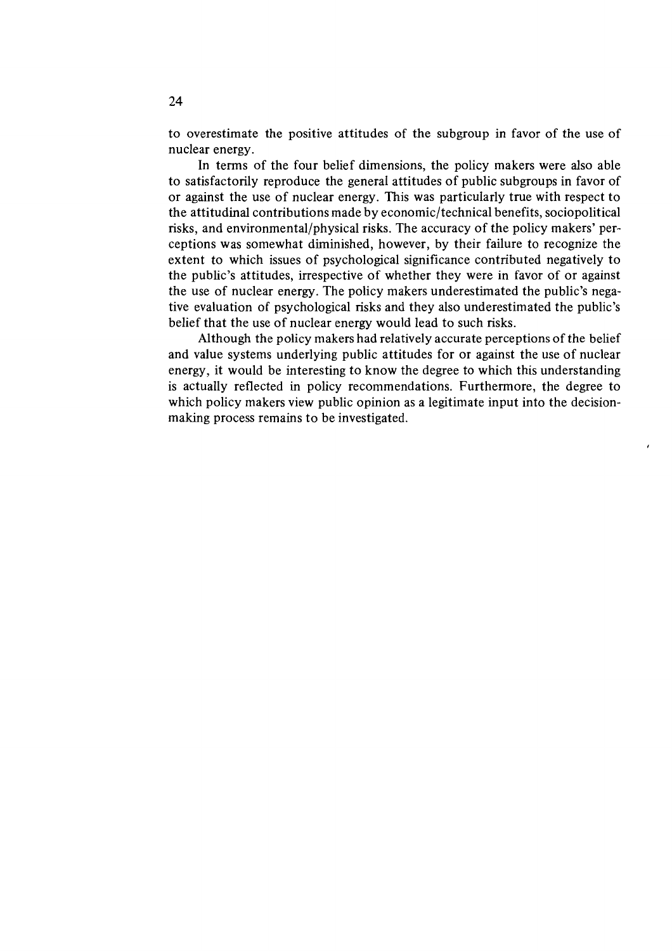to overestimate the positive attitudes of the subgroup in favor of the use of nuclear energy.

In terms of the four belief dimensions, the policy makers were also able to satisfactorily reproduce the general attitudes of public subgroups in favor of or against the use of nuclear energy. This was particularly true with respect to the attitudinal contributions made by economic/technical benefits, sociopolitical risks, and environmental/physical risks. The accuracy of the policy makers' perceptions was somewhat diminished, however, by their failure to recognize the extent to which issues of psychological significance contributed negatively to the public's attitudes, irrespective of whether they were in favor of or against the use of nuclear energy. The policy makers underestimated the public's negative evaluation of psychological risks and they also underestimated the public's belief that the use of nuclear energy would lead to such risks.

Although the policy makers had relatively accurate perceptions of the belief and value systems underlying public attitudes for or against the use of nuclear energy, it would be interesting to know the degree to which this understanding is actually reflected in policy recommendations. Furthermore, the degree to which policy makers view public opinion as a legitimate input into the decisionmaking process remains to be investigated.

 $\overline{1}$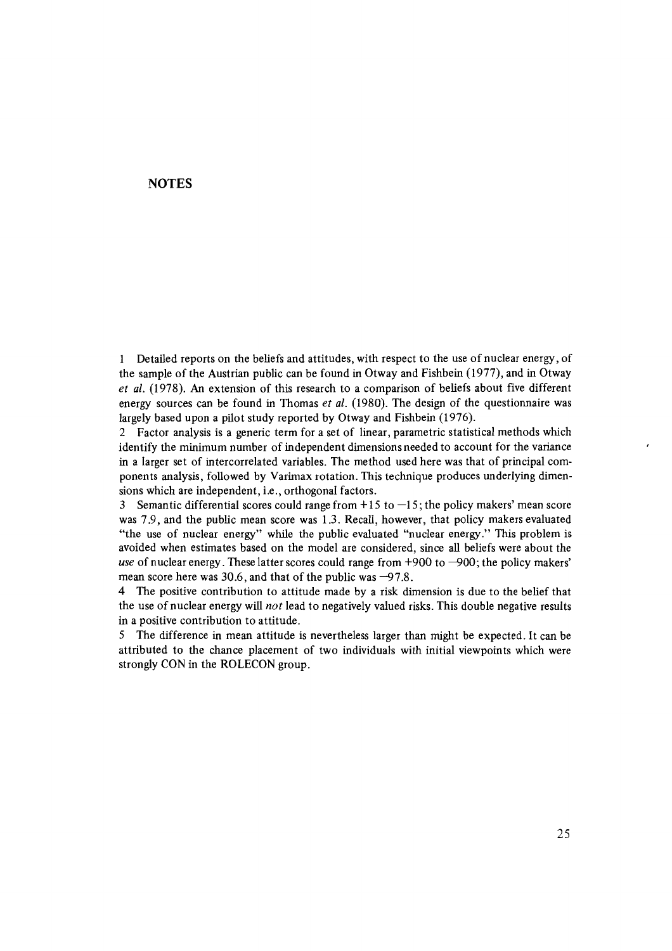### **NOTES**

1 Detailed reports on the beliefs and attitudes, with respect to the use of nuclear energy, of the sample of the Austrian public can be found in Otway and Fishbein (1977), and in Otway *et al.* (1978). *An* extension of this research to a comparison of beliefs about five different energy sources can be found in Thomas *et al.* (1980). The design of the questionnaire was largely based upon a pilot study reported by Otway and Fishbein (1976).

2 Factor analysis is a generic term for a set of linear, parametric statistical methods which identify the minimum number of independent dimensionsneeded to account for the variance in a larger set of intercorrelated variables. The method used here was that of principal components analysis, followed by Varimax rotation. This technique produces underlying dimensions which are independent, i.e., orthogonal factors.

3 Semantic differential scores could range from  $+15$  to  $-15$ ; the policy makers' mean score was 7.9, and the public mean score was 1.3. Recall, however, that policy makers evaluated "the use of nuclear energy" while the public evaluated "nuclear energy." This problem is avoided when estimates based on the model are considered, since all beliefs were about the *use* of nuclear energy. These latter scores could range from +900 to -900; the policy makers' mean score here was 30.6, and that of the public was  $-97.8$ .

4 The positive contribution to attitude made by a risk dimension is due to the belief that the use of nuclear energy will *not* lead to negatively valued risks. This double negative results in a positive contribution to attitude.

5 The difference in mean attitude is nevertheless larger than might be expected. It can be attributed to the chance placement of two individuals with initial viewpoints which were strongly CON in the ROLECON group.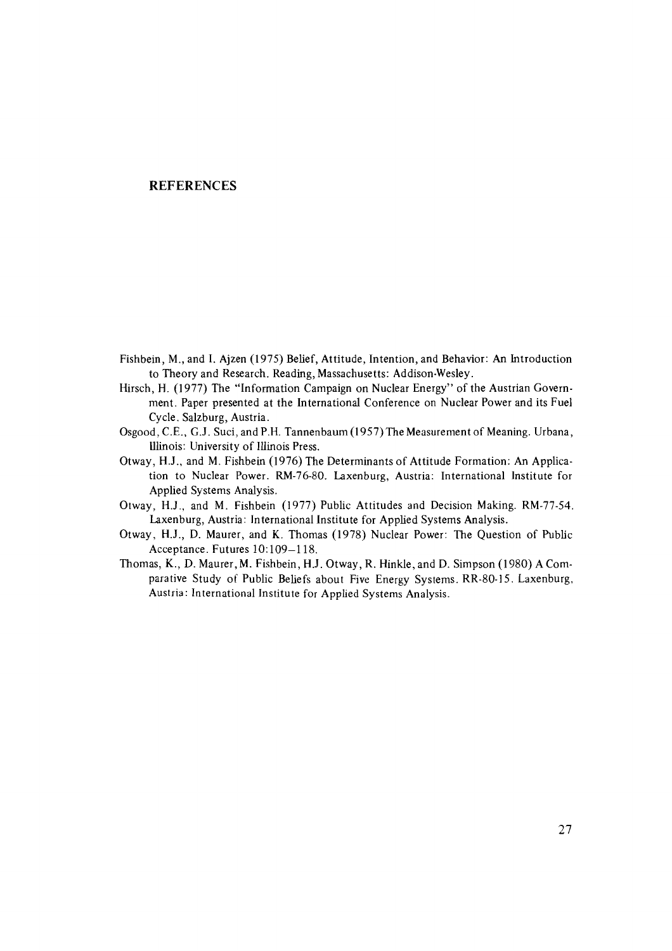## **REFERENCES**

- Fishbein, M., and I. Ajzen (1975) Belief, Attitude, Intention, and Behavior: An Introduction to Theory and Research. Reading, Massachusetts: Addison-Wesley.
- Hirsch, H. (1977) The "Information Campaign on Nuclear Energy" of the Austrian Government. Paper presented at the International Conference on Nuclear Power and its Fuel Cycle. Salzburg, Austria.
- Osgood, C.E., G.J. Suci, and P.H. Tannenbaum (1957) The Measurement of Meaning. Urbana, Ulinois: University of Illinois Press.
- Otway, H.J., and M. Fishbein (1976) The Determinants of Attitude Formation: An Application to Nuclear Power. RM-76-80. Laxenburg, Austria: International Institute for Applied Systems Analysis.
- Otway, H.J., and M. Fishbein (1977) Public Attitudes and Decision Making. RM-77-54. Laxenburg, Austria: International Institute for Applied Systems Analysis.
- Otway, H.J., D. Maurer, and K. Thomas (1978) Nuclear Power: The Question of Public Acceptance. Futures 10:109-118.
- Thomas, K., D. Maurer, M. Fishbein, H.J. Otway, R. Hinkle, and D. Simpson (1980) A Comparative Study of Public Beliefs about Five Energy Systems. RR-80-15. Laxenburg, Austria: International Institute for Applied Systems Analysis.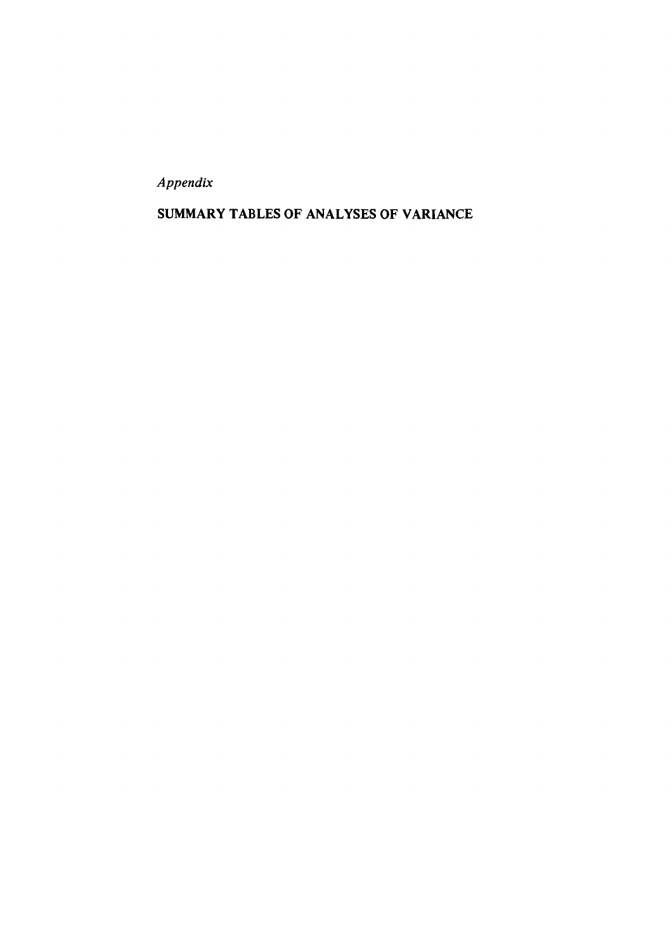**Appendix** 

# **SUMMARY TABLES OF ANALYSES OF VARIANCE**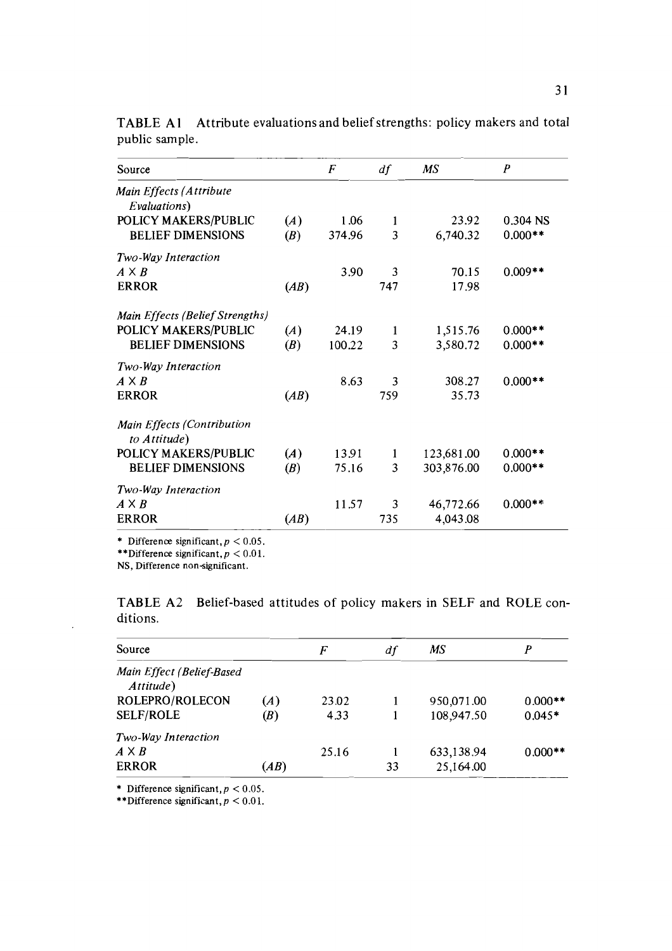| Source                                     |      | F      | $\frac{df}{f}$ | MS         | $\boldsymbol{P}$ |
|--------------------------------------------|------|--------|----------------|------------|------------------|
| Main Effects (Attribute<br>Evaluations)    |      |        |                |            |                  |
| POLICY MAKERS/PUBLIC                       | (A)  | 1.06   | 1              | 23.92      | $0.304$ NS       |
| <b>BELIEF DIMENSIONS</b>                   | (B)  | 374.96 | 3              | 6,740.32   | $0.000**$        |
| Two-Way Interaction                        |      |        |                |            |                  |
| $A \times B$                               |      | 3.90   | 3              | 70.15      | $0.009**$        |
| <b>ERROR</b>                               | (AB) |        | 747            | 17.98      |                  |
| Main Effects (Belief Strengths)            |      |        |                |            |                  |
| POLICY MAKERS/PUBLIC                       | (A)  | 24.19  | 1              | 1,515.76   | $0.000**$        |
| <b>BELIEF DIMENSIONS</b>                   | (B)  | 100.22 | 3              | 3,580.72   | $0.000**$        |
| Two-Way Interaction                        |      |        |                |            |                  |
| $A \times B$                               |      | 8.63   | 3              | 308.27     | $0.000**$        |
| <b>ERROR</b>                               | (AB) |        | 759            | 35.73      |                  |
| Main Effects (Contribution<br>to Attitude) |      |        |                |            |                  |
| POLICY MAKERS/PUBLIC                       | (A)  | 13.91  | 1              | 123,681.00 | $0.000**$        |
| <b>BELIEF DIMENSIONS</b>                   | (B)  | 75.16  | 3              | 303,876.00 | $0.000**$        |
| Two-Way Interaction                        |      |        |                |            |                  |
| $A \times B$                               |      | 11.57  | 3              | 46,772.66  | $0.000**$        |
| <b>ERROR</b>                               | (AB) |        | 735            | 4,043.08   |                  |

TABLE A **1** Attribute evaluations and belief strengths: policy makers and total public sample.

\* Difference significant,  $p < 0.05$ .

\*\*Difference significant, **p** < 0.0 **1.** 

**NS,** Difference nonsignificant.

| Source                                 |      | F     | df | MS         | P         |
|----------------------------------------|------|-------|----|------------|-----------|
| Main Effect (Belief-Based<br>Attitude) |      |       |    |            |           |
| ROLEPRO/ROLECON                        | (A)  | 23.02 |    | 950.071.00 | $0.000**$ |
| <b>SELF/ROLE</b>                       | (B)  | 4.33  |    | 108,947.50 | $0.045*$  |
| Two-Way Interaction                    |      |       |    |            |           |
| $A \times B$                           |      | 25.16 |    | 633,138.94 | $0.000**$ |
| <b>ERROR</b>                           | (AB) |       | 33 | 25,164.00  |           |

TABLE A2 Belief-based attitudes of policy makers in SELF and ROLE conditions.

\* Difference significant,  $p < 0.05$ .

\*\*Difference significant, **p** < 0.0 **1.**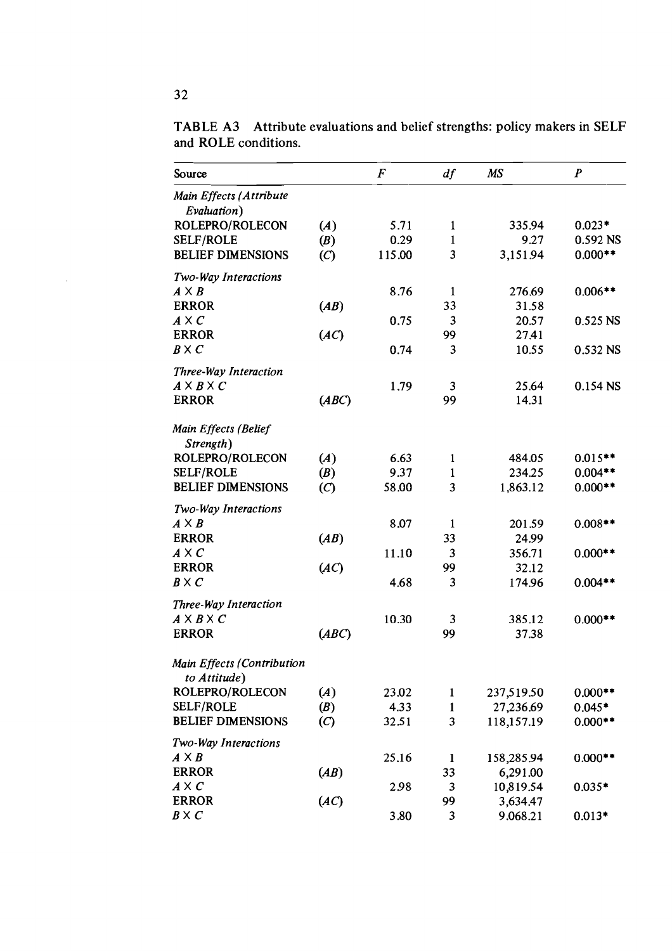| Source                                     |               | F      | df           | MS         | P         |
|--------------------------------------------|---------------|--------|--------------|------------|-----------|
| Main Effects (Attribute<br>Evaluation)     |               |        |              |            |           |
| <b>ROLEPRO/ROLECON</b>                     | (A)           | 5.71   | 1            | 335.94     | $0.023*$  |
| <b>SELF/ROLE</b>                           | (B)           | 0.29   | 1            | 9.27       | 0.592 NS  |
| <b>BELIEF DIMENSIONS</b>                   | $\mathcal{C}$ | 115.00 | 3            | 3,151.94   | $0.000**$ |
| Two-Way Interactions                       |               |        |              |            |           |
| $A\times B$                                |               | 8.76   | 1            | 276.69     | $0.006**$ |
| <b>ERROR</b>                               | (AB)          |        | 33           | 31.58      |           |
| $A \times C$                               |               | 0.75   | 3            | 20.57      | 0.525 NS  |
| <b>ERROR</b>                               | (AC)          |        | 99           | 27.41      |           |
| $B \times C$                               |               | 0.74   | 3            | 10.55      | 0.532 NS  |
| Three-Way Interaction                      |               |        |              |            |           |
| $A \times B \times C$                      |               | 1.79   | 3            | 25.64      | 0.154 NS  |
| <b>ERROR</b>                               | (ABC)         |        | 99           | 14.31      |           |
| Main Effects (Belief<br>Strength)          |               |        |              |            |           |
| ROLEPRO/ROLECON                            | (A)           | 6.63   | 1            | 484.05     | 0.015**   |
| <b>SELF/ROLE</b>                           | (B)           | 9.37   | 1            | 234.25     | $0.004**$ |
| <b>BELIEF DIMENSIONS</b>                   | (C)           | 58.00  | 3            | 1,863.12   | 0.000**   |
| Two-Way Interactions                       |               |        |              |            |           |
| $A \times B$                               |               | 8.07   | 1            | 201.59     | $0.008**$ |
| <b>ERROR</b>                               | (AB)          |        | 33           | 24.99      |           |
| $A \times C$                               |               | 11.10  | 3            | 356.71     | $0.000**$ |
| <b>ERROR</b>                               | (AC)          |        | 99           | 32.12      |           |
| $B \times C$                               |               | 4.68   | 3            | 174.96     | $0.004**$ |
| Three-Way Interaction                      |               |        |              |            |           |
| $A \times B \times C$                      |               | 10.30  | 3            | 385.12     | $0.000**$ |
| <b>ERROR</b>                               | (ABC)         |        | 99           | 37.38      |           |
| Main Effects (Contribution<br>to Attitude) |               |        |              |            |           |
| ROLEPRO/ROLECON                            | (A)           | 23.02  | 1            | 237,519.50 | $0.000**$ |
| <b>SELF/ROLE</b>                           | (B)           | 4.33   | 1            | 27,236.69  | $0.045*$  |
| <b>BELIEF DIMENSIONS</b>                   | (C)           | 32.51  | 3            | 118,157.19 | $0.000**$ |
| Two-Way Interactions                       |               |        |              |            |           |
| $A \times B$                               |               | 25.16  | $\mathbf{1}$ | 158,285.94 | $0.000**$ |
| <b>ERROR</b>                               | (AB)          |        | 33           | 6,291.00   |           |
| $A \times C$                               |               | 2.98   | 3            | 10,819.54  | $0.035*$  |
| <b>ERROR</b>                               | (AC)          |        | 99           | 3,634.47   |           |
| BXC                                        |               | 3.80   | 3            | 9.068.21   | $0.013*$  |

**TABLE A3 Attribute evaluations and belief strengths: policy makers in SELF and ROLE conditions.** 

 $\sim 10^{-1}$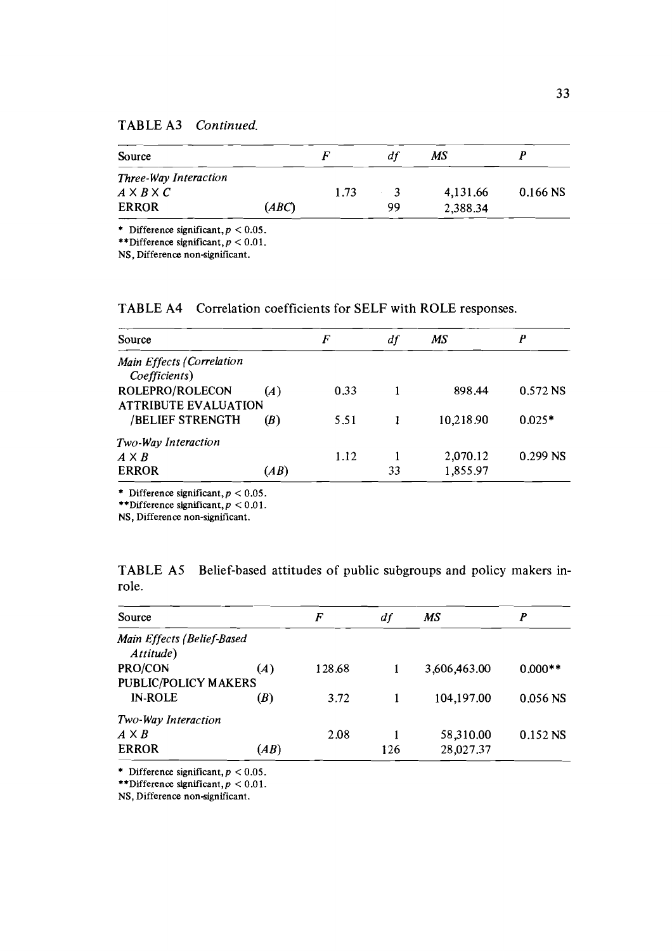| Source                                         |       | F    | df           | МS       |            |
|------------------------------------------------|-------|------|--------------|----------|------------|
| Three-Way Interaction<br>$A \times B \times C$ |       | 1.73 | $\mathbf{R}$ | 4,131,66 | $0.166$ NS |
| <b>ERROR</b>                                   | (ABC) |      | 99           | 2,388.34 |            |

\* **Difference significant, p** < **0.05.** 

**\*\*Difference signi€icant,p** < **0.01.** 

**NS, Difference non-significant.** 

# **TABLE A4 Correlation coefficients for SELF with ROLE responses.**

| Source                                     |      | F    | df | МS        | P          |
|--------------------------------------------|------|------|----|-----------|------------|
| Main Effects (Correlation<br>Coefficients) |      |      |    |           |            |
| ROLEPRO/ROLECON                            | (A)  | 0.33 |    | 898.44    | 0.572 NS   |
| <b>ATTRIBUTE EVALUATION</b>                |      |      |    |           |            |
| /BELIEF STRENGTH                           | (B)  | 5.51 |    | 10,218.90 | $0.025*$   |
| Two-Way Interaction                        |      |      |    |           |            |
| $A \times B$                               |      | 1.12 |    | 2,070.12  | $0.299$ NS |
| <b>ERROR</b>                               | (AB) |      | 33 | 1,855.97  |            |

\* **Difference significant,p** < **0.05.** 

**\*\*Difference significant, p** < **0.0 1.** 

**NS, Difference non-significant.** 

|       | TABLE A5 Belief-based attitudes of public subgroups and policy makers in- |  |
|-------|---------------------------------------------------------------------------|--|
| role. |                                                                           |  |

| Source                                  |      | F      | df  | MS           | P         |
|-----------------------------------------|------|--------|-----|--------------|-----------|
| Main Effects (Belief-Based<br>Attitude) |      |        |     |              |           |
| PRO/CON                                 | (A)  | 128.68 |     | 3,606,463.00 | $0.000**$ |
| <b>PUBLIC/POLICY MAKERS</b>             |      |        |     |              |           |
| <b>IN-ROLE</b>                          | (B)  | 3.72   |     | 104,197.00   | 0.056 NS  |
| Two-Way Interaction                     |      |        |     |              |           |
| $A \times B$                            |      | 2.08   |     | 58,310.00    | 0.152 NS  |
| <b>ERROR</b>                            | (AB) |        | 126 | 28,027.37    |           |

\* **Difference signiiicant, p** < **0.05.** 

**\*\*Difference significant, p** < **0.01.** 

**NS, Difference non-significant.**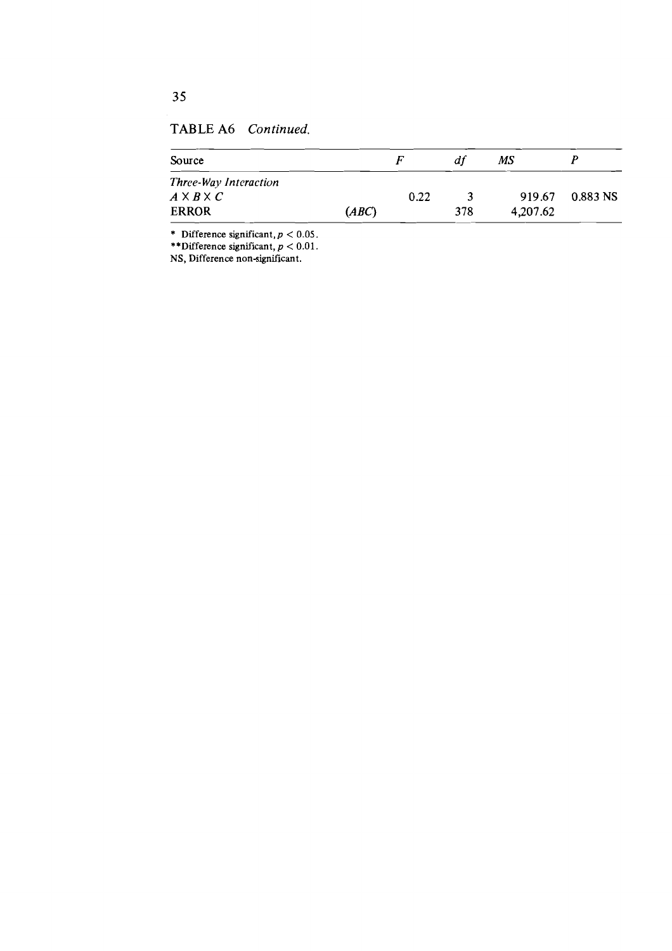# **TABLE A6** *Continued.*

| Source                |       | H    | d1  | МS       |          |
|-----------------------|-------|------|-----|----------|----------|
| Three-Way Interaction |       |      |     |          |          |
| $A \times B \times C$ |       | 0.22 | 3   | 919.67   | 0.883 NS |
| <b>ERROR</b>          | (ABC) |      | 378 | 4.207.62 |          |

\* **Difference significant, p** < **0.05.** 

**\*\*Difference significant, p** < **0.0 1.** 

**NS, Difference nonsignificant.**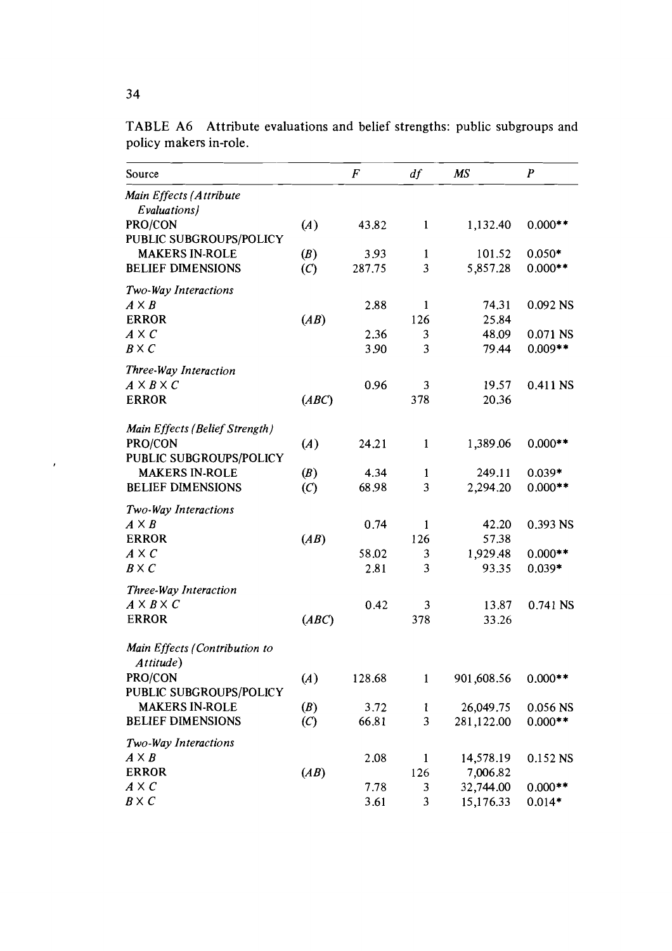| Source                                     |           | $\boldsymbol{F}$ | $\frac{df}{f}$ | <b>MS</b>  | $\boldsymbol{P}$ |
|--------------------------------------------|-----------|------------------|----------------|------------|------------------|
| Main Effects (Attribute                    |           |                  |                |            |                  |
| Evaluations)                               |           |                  |                |            |                  |
| <b>PRO/CON</b>                             | (A)       | 43.82            | $\mathbf{1}$   | 1,132.40   | $0.000**$        |
| PUBLIC SUBGROUPS/POLICY                    |           |                  |                |            |                  |
| <b>MAKERS IN-ROLE</b>                      | (B)       | 3.93             | 1              | 101.52     | $0.050*$         |
| <b>BELIEF DIMENSIONS</b>                   | $\left( $ | 287.75           | 3              | 5,857.28   | $0.000**$        |
| Two-Way Interactions                       |           |                  |                |            |                  |
| $A \times B$                               |           | 2.88             | 1              | 74.31      | 0.092 NS         |
| <b>ERROR</b>                               | (AB)      |                  | 126            | 25.84      |                  |
| $A \times C$                               |           | 2.36             | 3              | 48.09      | 0.071 NS         |
| $B\times C$                                |           | 3.90             | 3              | 79.44      | $0.009**$        |
|                                            |           |                  |                |            |                  |
| Three-Way Interaction                      |           |                  |                |            |                  |
| $A \times B \times C$                      |           | 0.96             | 3              | 19.57      | 0.411 NS         |
| <b>ERROR</b>                               | (ABC)     |                  | 378            | 20.36      |                  |
| Main Effects (Belief Strength)             |           |                  |                |            |                  |
| PRO/CON                                    | (A)       | 24.21            | $\mathbf{1}$   | 1,389.06   | $0.000**$        |
| PUBLIC SUBGROUPS/POLICY                    |           |                  |                |            |                  |
| <b>MAKERS IN-ROLE</b>                      | (B)       | 4.34             | 1              | 249.11     | $0.039*$         |
| <b>BELIEF DIMENSIONS</b>                   | (C)       | 68.98            | 3              | 2,294.20   | $0.000**$        |
|                                            |           |                  |                |            |                  |
| Two-Way Interactions                       |           |                  |                |            |                  |
| $A\times B$                                |           | 0.74             | 1              | 42.20      | 0.393 NS         |
| <b>ERROR</b>                               | (AB)      |                  | 126            | 57.38      |                  |
| $A \times C$                               |           | 58.02            | 3              | 1,929.48   | $0.000**$        |
| $B \times C$                               |           | 2.81             | 3              | 93.35      | $0.039*$         |
| Three-Way Interaction                      |           |                  |                |            |                  |
| $A \times B \times C$                      |           | 0.42             | 3              | 13.87      | 0.741 NS         |
| <b>ERROR</b>                               | (ABC)     |                  | 378            | 33.26      |                  |
|                                            |           |                  |                |            |                  |
| Main Effects (Contribution to<br>Attitude) |           |                  |                |            |                  |
| PRO/CON                                    | (A)       | 128.68           | 1              | 901,608.56 | $0.000**$        |
| PUBLIC SUBGROUPS/POLICY                    |           |                  |                |            |                  |
| <b>MAKERS IN-ROLE</b>                      | (B)       | 3.72             | 1              | 26,049.75  | 0.056 NS         |
| <b>BELIEF DIMENSIONS</b>                   | (C)       | 66.81            | 3              | 281,122.00 | $0.000**$        |
| Two-Way Interactions                       |           |                  |                |            |                  |
| $A\times B$                                |           | 2.08             | 1              | 14,578.19  | 0.152 NS         |
| <b>ERROR</b>                               | (AB)      |                  | 126            | 7,006.82   |                  |
| A $\times$ $C$                             |           | 7.78             | 3              | 32,744.00  | $0.000**$        |
| $\mathit{B} \times \mathit{C}$             |           | 3.61             | 3              | 15,176.33  | $0.014*$         |

**TABLE A6 Attribute evaluations and belief strengths: public subgroups and policy makers in-role.** 

 $\bar{\epsilon}$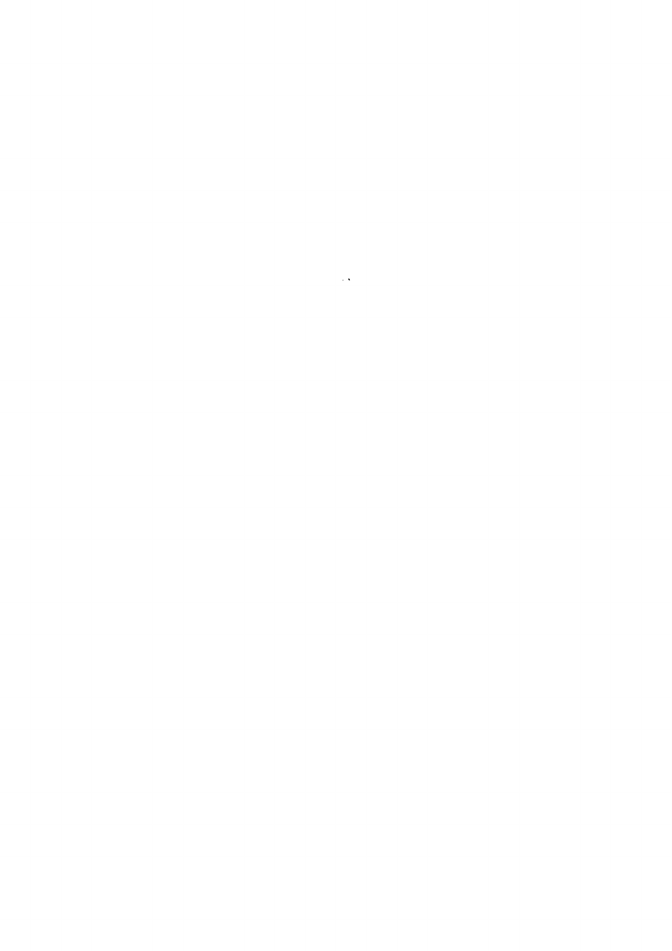$\mathcal{L}^{\text{max}}_{\text{max}}$  , where  $\mathcal{L}^{\text{max}}_{\text{max}}$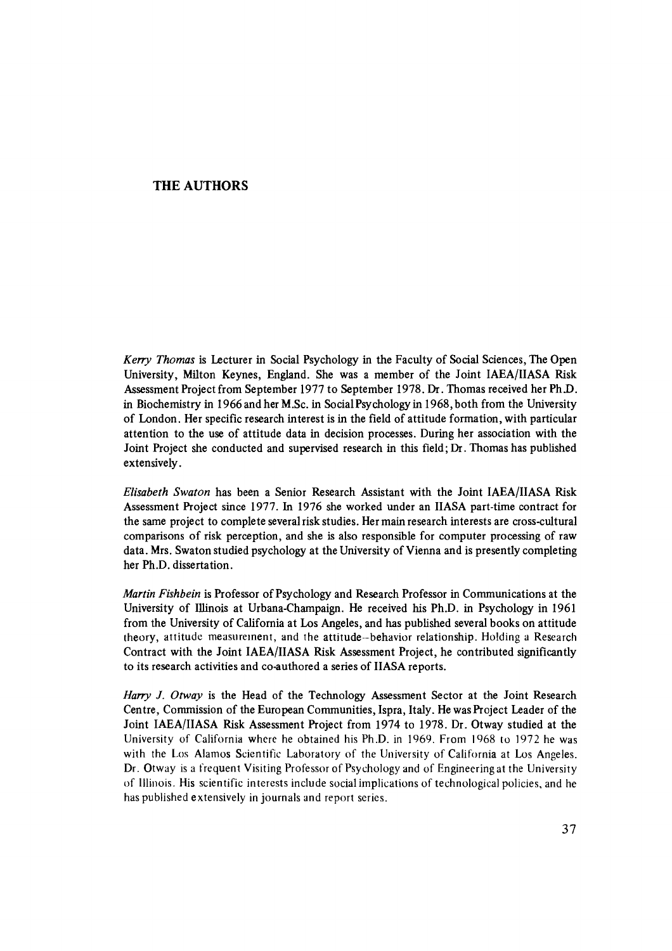## **THE AUTHORS**

*Kerry Thomas* is Lecturer in Social Psychology in the Faculty of Social Sciences, The Open University, Milton Keynes, England. She was a member of the Joint IAEA/IIASA Risk Assessment Project from September 1977 to September 1978. Dr. Thomas received her PhD. in Biochemistry in 1966 and her M.Sc. in SocialPsychology in 1968, both from the University of London. Her specific research interest is in the field of attitude formation, with particular attention to the use of attitude data in decision processes. During her association with the Joint Project she conducted and supervised research in this field; Dr. Thomas has published extensively.

*Elisabeth Swaton* has been a Senior Research Assistant with the Joint IAEAIIIASA Risk Assessment Project since 1977. In 1976 she worked under an IIASA part-time contract for the same project to complete several risk studies. Her main research interests are cross-cultural comparisons of risk perception, and she is also responsible for computer processing of raw data. Mrs. Swaton studied psychology at the University of Vienna and is presently completing her Ph.D. dissertation.

*Martin Fishbein* is Professor of Psychology and Research Professor in Communications at the University of Illinois at Urbana-Champaign. He received his Ph.D. in Psychology in 1961 from the University of California at Los Angeles, and has published several books on attitude theory, attitude measurement, and the attitude-behavior relationship. Holding a Research Contract with the Joint IAEA/IIASA Risk Assessment Project, he contributed significantly to its research activities and co-authored a series of IIASA reports.

Harry J. Otway is the Head of the Technology Assessment Sector at the Joint Research Centre, Commission of the European Communities, Ispra, Italy. He wasProject Leader of the Joint IAEA/IIASA Risk Assessment Project from 1974 to 1978. Dr. Otway studied at the University of California where he obtained his Ph.D. in 1969. From 1968 to 1972 he was with the Los Alamos Scientific Laboratory of the University of California at Los Angeles. Dr. Otway is a frequent Visiting Professor of Psychology and of Engineeringat the University of Illinois. His scientific interests include social implications of technological policies, and he has published extensively in journals and report series.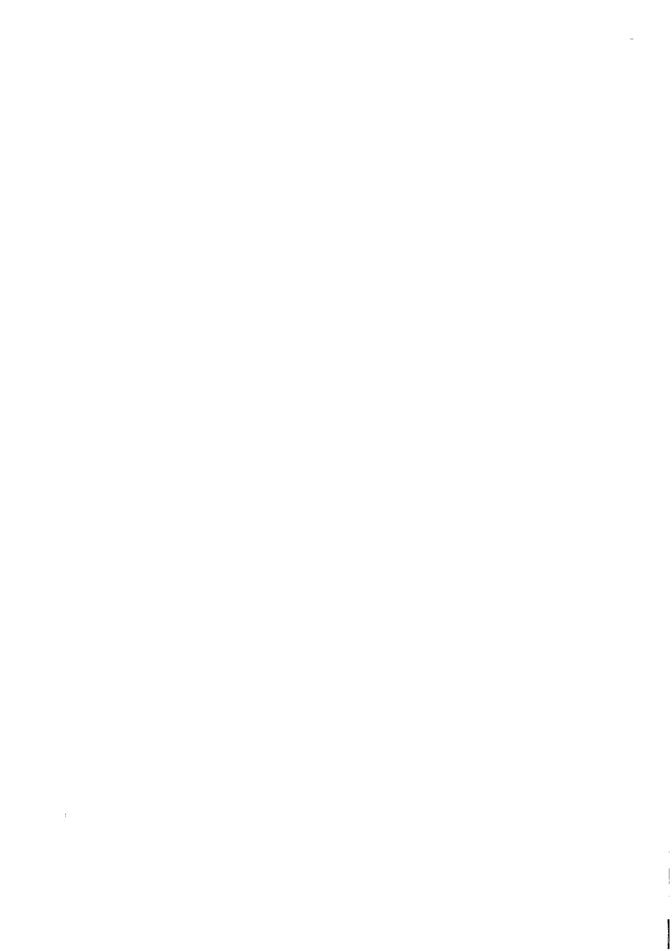$\mathcal{A}(\mathcal{A})$  and  $\mathcal{A}(\mathcal{A})$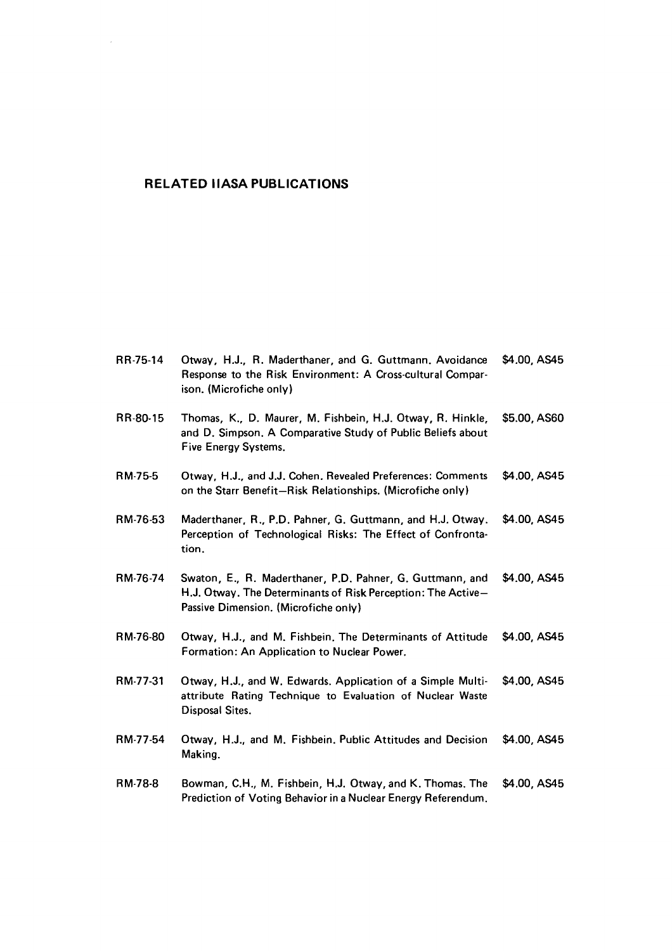# **RELATED IlASA PUBLICATIONS**

 $\sim 10^7$ 

| RR-75-14 | Otway, H.J., R. Maderthaner, and G. Guttmann. Avoidance<br>Response to the Risk Environment: A Cross-cultural Compar-<br>ison. (Microfiche only)                  | \$4,00, AS45 |
|----------|-------------------------------------------------------------------------------------------------------------------------------------------------------------------|--------------|
| RR-80-15 | Thomas, K., D. Maurer, M. Fishbein, H.J. Otway, R. Hinkle,<br>and D. Simpson. A Comparative Study of Public Beliefs about<br>Five Energy Systems.                 | \$5.00, AS60 |
| RM-75-5  | Otway, H.J., and J.J. Cohen. Revealed Preferences: Comments<br>on the Starr Benefit-Risk Relationships. (Microfiche only)                                         | \$4.00, AS45 |
| RM-76-53 | Maderthaner, R., P.D. Pahner, G. Guttmann, and H.J. Otway.<br>Perception of Technological Risks: The Effect of Confronta-<br>tion.                                | \$4.00, AS45 |
| RM-76-74 | Swaton, E., R. Maderthaner, P.D. Pahner, G. Guttmann, and<br>H.J. Otway. The Determinants of Risk Perception: The Active-<br>Passive Dimension. (Microfiche only) | \$4.00, AS45 |
| RM-76-80 | Otway, H.J., and M. Fishbein. The Determinants of Attitude<br>Formation: An Application to Nuclear Power,                                                         | \$4,00, AS45 |
| RM 77-31 | Otway, H.J., and W. Edwards. Application of a Simple Multi-<br>attribute Rating Technique to Evaluation of Nuclear Waste<br>Disposal Sites.                       | \$4,00, AS45 |
| RM-77-54 | Otway, H.J., and M. Fishbein. Public Attitudes and Decision<br>Making.                                                                                            | \$4.00, AS45 |
| RM-78-8  | Bowman, C.H., M. Fishbein, H.J. Otway, and K. Thomas. The<br>Prediction of Voting Behavior in a Nuclear Energy Referendum.                                        | \$4.00, AS45 |